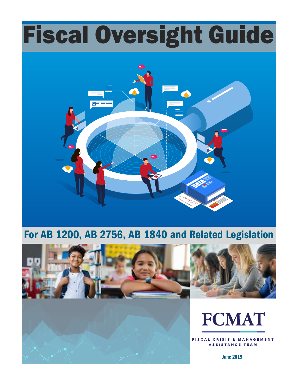# Fiscal Oversight Guide



### For AB 1200, AB 2756, AB 1840 and Related Legislation









FISCAL CRISIS & MANAGEMENT **ASSISTANCE TEAM** 

June 2019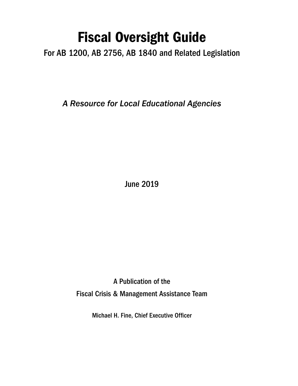## Fiscal Oversight Guide

For AB 1200, AB 2756, AB 1840 and Related Legislation

*A Resource for Local Educational Agencies*

June 2019

A Publication of the Fiscal Crisis & Management Assistance Team

Michael H. Fine, Chief Executive Officer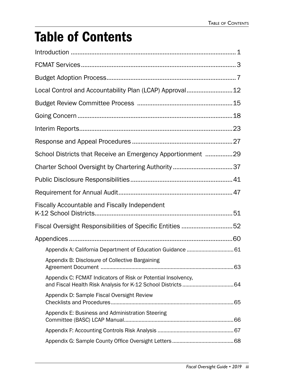# Table of Contents

| Local Control and Accountability Plan (LCAP) Approval12       |  |
|---------------------------------------------------------------|--|
|                                                               |  |
|                                                               |  |
|                                                               |  |
|                                                               |  |
| School Districts that Receive an Emergency Apportionment 29   |  |
|                                                               |  |
|                                                               |  |
|                                                               |  |
| Fiscally Accountable and Fiscally Independent                 |  |
| Fiscal Oversight Responsibilities of Specific Entities 52     |  |
|                                                               |  |
|                                                               |  |
| Appendix B: Disclosure of Collective Bargaining               |  |
| Appendix C: FCMAT Indicators of Risk or Potential Insolvency, |  |
| Appendix D: Sample Fiscal Oversight Review                    |  |
| Appendix E: Business and Administration Steering              |  |
|                                                               |  |
|                                                               |  |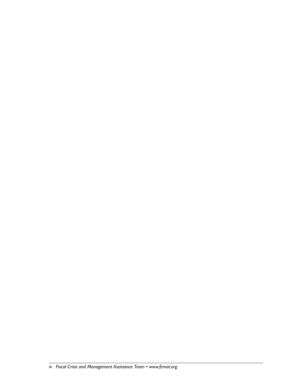### *iv Fiscal Crisis and Management Assistance Team •<www.fcmat.org>*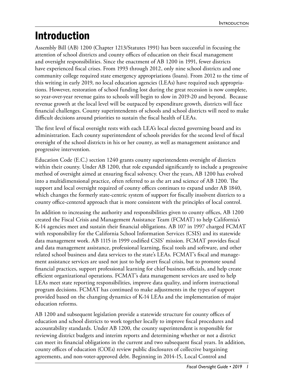### <span id="page-6-0"></span>Introduction

Assembly Bill (AB) 1200 (Chapter 1213/Statutes 1991) has been successful in focusing the attention of school districts and county offices of education on their fiscal management and oversight responsibilities. Since the enactment of AB 1200 in 1991, fewer districts have experienced fiscal crises. From 1993 through 2012, only nine school districts and one community college required state emergency appropriations (loans). From 2012 to the time of this writing in early 2019, no local education agencies (LEAs) have required such appropriations. However, restoration of school funding lost during the great recession is now complete, so year-over-year revenue gains to schools will begin to slow in 2019-20 and beyond. Because revenue growth at the local level will be outpaced by expenditure growth, districts will face financial challenges. County superintendents of schools and school districts will need to make difficult decisions around priorities to sustain the fiscal health of LEAs.

The first level of fiscal oversight rests with each LEA's local elected governing board and its administration. Each county superintendent of schools provides for the second level of fiscal oversight of the school districts in his or her county, as well as management assistance and progressive intervention.

Education Code (E.C.) section 1240 grants county superintendents oversight of districts within their county. Under AB 1200, that role expanded significantly to include a progressive method of oversight aimed at ensuring fiscal solvency. Over the years, AB 1200 has evolved into a multidimensional practice, often referred to as the art and science of AB 1200. The support and local oversight required of county offices continues to expand under AB 1840, which changes the formerly state-centric system of support for fiscally insolvent districts to a county office-centered approach that is more consistent with the principles of local control.

In addition to increasing the authority and responsibilities given to county offices, AB 1200 created the Fiscal Crisis and Management Assistance Team (FCMAT) to help California's K-14 agencies meet and sustain their financial obligations. AB 107 in 1997 charged FCMAT with responsibility for the California School Information Services (CSIS) and its statewide data management work. AB 1115 in 1999 codified CSIS' mission. FCMAT provides fiscal and data management assistance, professional learning, fiscal tools and software, and other related school business and data services to the state's LEAs. FCMAT's fiscal and management assistance services are used not just to help avert fiscal crisis, but to promote sound financial practices, support professional learning for chief business officials, and help create efficient organizational operations. FCMAT's data management services are used to help LEAs meet state reporting responsibilities, improve data quality, and inform instructional program decisions. FCMAT has continued to make adjustments in the types of support provided based on the changing dynamics of K-14 LEAs and the implementation of major education reforms.

AB 1200 and subsequent legislation provide a statewide structure for county offices of education and school districts to work together locally to improve fiscal procedures and accountability standards. Under AB 1200, the county superintendent is responsible for reviewing district budgets and interim reports and determining whether or not a district can meet its financial obligations in the current and two subsequent fiscal years. In addition, county offices of education (COEs) review public disclosures of collective bargaining agreements, and non-voter-approved debt. Beginning in 2014-15, Local Control and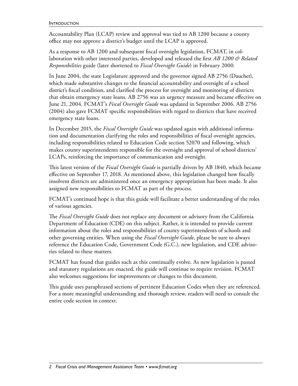Accountability Plan (LCAP) review and approval was tied to AB 1200 because a county office may not approve a district's budget until the LCAP is approved.

As a response to AB 1200 and subsequent fiscal oversight legislation, FCMAT, in collaboration with other interested parties, developed and released the first *AB 1200 & Related Responsibilities* guide (later shortened to *Fiscal Oversight Guide*) in February 2000.

In June 2004, the state Legislature approved and the governor signed AB 2756 (Daucher), which made substantive changes to the financial accountability and oversight of a school district's fiscal condition, and clarified the process for oversight and monitoring of districts that obtain emergency state loans. AB 2756 was an urgency measure and became effective on June 21, 2004. FCMAT's *Fiscal Oversight Guide* was updated in September 2006. AB 2756 (2004) also gave FCMAT specific responsibilities with regard to districts that have received emergency state loans.

In December 2015, the *Fiscal Oversight Guide* was updated again with additional information and documentation clarifying the roles and responsibilities of fiscal oversight agencies, including responsibilities related to Education Code section 52070 and following, which makes county superintendents responsible for the oversight and approval of school districts' LCAPs, reinforcing the importance of communication and oversight.

This latest version of the *Fiscal Oversight Guide* is partially driven by AB 1840, which became effective on September 17, 2018. As mentioned above, this legislation changed how fiscally insolvent districts are administered once an emergency appropriation has been made. It also assigned new responsibilities to FCMAT as part of the process.

FCMAT's continued hope is that this guide will facilitate a better understanding of the roles of various agencies.

The *Fiscal Oversight Guide* does not replace any document or advisory from the California Department of Education (CDE) on this subject. Rather, it is intended to provide current information about the roles and responsibilities of county superintendents of schools and other governing entities. When using the *Fiscal Oversight Guide*, please be sure to always reference the Education Code, Government Code (G.C.), new legislation, and CDE advisories related to these matters.

FCMAT has found that guides such as this continually evolve. As new legislation is passed and statutory regulations are enacted, the guide will continue to require revision. FCMAT also welcomes suggestions for improvements or changes to this document.

This guide uses paraphrased sections of pertinent Education Codes when they are referenced. For a more meaningful understanding and thorough review, readers will need to consult the entire code section in context.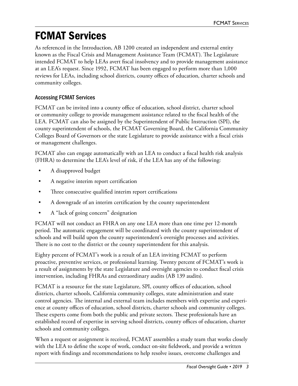### <span id="page-8-0"></span>FCMAT Services

As referenced in the Introduction, AB 1200 created an independent and external entity known as the Fiscal Crisis and Management Assistance Team (FCMAT). The Legislature intended FCMAT to help LEAs avert fiscal insolvency and to provide management assistance at an LEA's request. Since 1992, FCMAT has been engaged to perform more than 1,000 reviews for LEAs, including school districts, county offices of education, charter schools and community colleges.

### Accessing FCMAT Services

FCMAT can be invited into a county office of education, school district, charter school or community college to provide management assistance related to the fiscal health of the LEA. FCMAT can also be assigned by the Superintendent of Public Instruction (SPI), the county superintendent of schools, the FCMAT Governing Board, the California Community Colleges Board of Governors or the state Legislature to provide assistance with a fiscal crisis or management challenges.

FCMAT also can engage automatically with an LEA to conduct a fiscal health risk analysis (FHRA) to determine the LEA's level of risk, if the LEA has any of the following:

- A disapproved budget
- A negative interim report certification
- Three consecutive qualified interim report certifications
- A downgrade of an interim certification by the county superintendent
- A "lack of going concern" designation

FCMAT will not conduct an FHRA on any one LEA more than one time per 12-month period. The automatic engagement will be coordinated with the county superintendent of schools and will build upon the county superintendent's oversight processes and activities. There is no cost to the district or the county superintendent for this analysis.

Eighty percent of FCMAT's work is a result of an LEA inviting FCMAT to perform proactive, preventive services, or professional learning. Twenty percent of FCMAT's work is a result of assignments by the state Legislature and oversight agencies to conduct fiscal crisis intervention, including FHRAs and extraordinary audits (AB 139 audits).

FCMAT is a resource for the state Legislature, SPI, county offices of education, school districts, charter schools, California community colleges, state administration and state control agencies. The internal and external team includes members with expertise and experience at county offices of education, school districts, charter schools and community colleges. These experts come from both the public and private sectors. These professionals have an established record of expertise in serving school districts, county offices of education, charter schools and community colleges.

When a request or assignment is received, FCMAT assembles a study team that works closely with the LEA to define the scope of work, conduct on-site fieldwork, and provide a written report with findings and recommendations to help resolve issues, overcome challenges and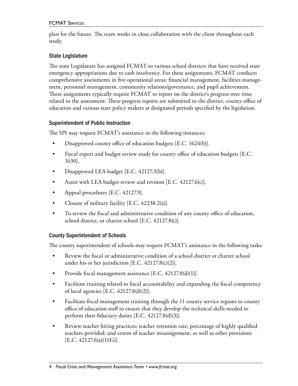plan for the future. The team works in close collaboration with the client throughout each study.

#### State Legislature

The state Legislature has assigned FCMAT to various school districts that have received state emergency appropriations due to cash insolvency. For these assignments, FCMAT conducts comprehensive assessments in five operational areas: financial management, facilities management, personnel management, community relations/governance, and pupil achievement. These assignments typically require FCMAT to report on the district's progress over time related to the assessment. These progress reports are submitted to the district, county office of education and various state policy makers at designated periods specified by the legislation.

#### Superintendent of Public Instruction

The SPI may request FCMAT's assistance in the following instances:

- Disapproved county office of education budgets [E.C. 1624(b)].
- Fiscal expert and budget review study for county office of education budgets [E.C. 1630].
- Disapproved LEA budget [E.C. 42127.3(b)].
- Assist with LEA budget review and revision [E.C. 42127.6(c)].
- Appeal procedures [E.C. 42127.9].
- Closure of military facility [E.C. 42238.2(a)].
- To review the fiscal and administrative condition of any county office of education, school district, or charter school [E.C. 42127.8(c)].

#### County Superintendent of Schools

The county superintendent of schools may request FCMAT's assistance in the following tasks:

- Review the fiscal or administrative condition of a school district or charter school under his or her jurisdiction [E.C. 42127.8(c)(2)].
- Provide fiscal management assistance [E.C. 42127.8(d)(1)].
- Facilitate training related to fiscal accountability and expanding the fiscal competency of local agencies [E.C. 42127.8(d)(2)].
- Facilitate fiscal management training through the 11 county service regions to county office of education staff to ensure that they develop the technical skills needed to perform their fiduciary duties [E.C. 42127.8(d)(3)].
- Review teacher hiring practices; teacher retention rate; percentage of highly qualified teachers provided; and extent of teacher misassignment, as well as other provisions  $[E.C. 42127.6(a)(1)(G)].$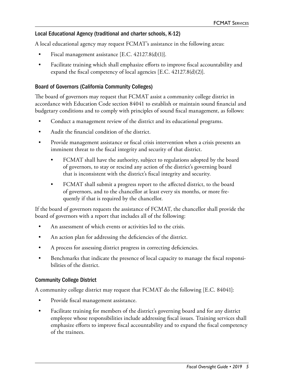#### Local Educational Agency (traditional and charter schools, K-12)

A local educational agency may request FCMAT's assistance in the following areas:

- Fiscal management assistance [E.C. 42127.8(d)(1)].
- Facilitate training which shall emphasize efforts to improve fiscal accountability and expand the fiscal competency of local agencies [E.C. 42127.8(d)(2)].

#### Board of Governors (California Community Colleges)

The board of governors may request that FCMAT assist a community college district in accordance with Education Code section 84041 to establish or maintain sound financial and budgetary conditions and to comply with principles of sound fiscal management, as follows:

- Conduct a management review of the district and its educational programs.
- Audit the financial condition of the district.
- Provide management assistance or fiscal crisis intervention when a crisis presents an imminent threat to the fiscal integrity and security of that district.
	- FCMAT shall have the authority, subject to regulations adopted by the board of governors, to stay or rescind any action of the district's governing board that is inconsistent with the district's fiscal integrity and security.
	- FCMAT shall submit a progress report to the affected district, to the board of governors, and to the chancellor at least every six months, or more frequently if that is required by the chancellor.

If the board of governors requests the assistance of FCMAT, the chancellor shall provide the board of governors with a report that includes all of the following:

- An assessment of which events or activities led to the crisis.
- An action plan for addressing the deficiencies of the district.
- A process for assessing district progress in correcting deficiencies.
- Benchmarks that indicate the presence of local capacity to manage the fiscal responsibilities of the district.

#### Community College District

A community college district may request that FCMAT do the following [E.C. 84041]:

- Provide fiscal management assistance.
- Facilitate training for members of the district's governing board and for any district employee whose responsibilities include addressing fiscal issues. Training services shall emphasize efforts to improve fiscal accountability and to expand the fiscal competency of the trainees.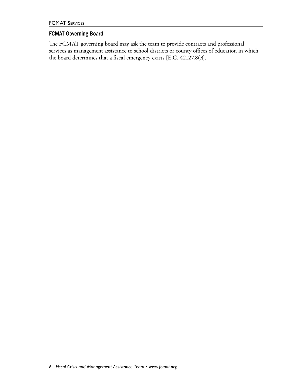#### FCMAT Services

#### FCMAT Governing Board

The FCMAT governing board may ask the team to provide contracts and professional services as management assistance to school districts or county offices of education in which the board determines that a fiscal emergency exists [E.C. 42127.8(e)].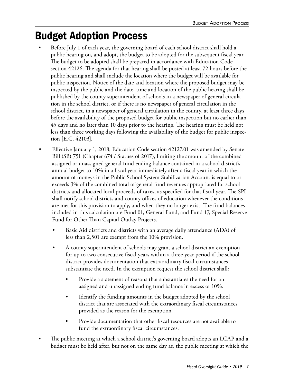### <span id="page-12-0"></span>Budget Adoption Process

- Before July 1 of each year, the governing board of each school district shall hold a public hearing on, and adopt, the budget to be adopted for the subsequent fiscal year. The budget to be adopted shall be prepared in accordance with Education Code section 42126. The agenda for that hearing shall be posted at least 72 hours before the public hearing and shall include the location where the budget will be available for public inspection. Notice of the date and location where the proposed budget may be inspected by the public and the date, time and location of the public hearing shall be published by the county superintendent of schools in a newspaper of general circulation in the school district, or if there is no newspaper of general circulation in the school district, in a newspaper of general circulation in the county, at least three days before the availability of the proposed budget for public inspection but no earlier than 45 days and no later than 10 days prior to the hearing. The hearing must be held not less than three working days following the availability of the budget for public inspection [E.C. 42103].
- Effective January 1, 2018, Education Code section 42127.01 was amended by Senate Bill (SB) 751 (Chapter 674 / Statues of 2017), limiting the amount of the combined assigned or unassigned general fund ending balance contained in a school district's annual budget to 10% in a fiscal year immediately after a fiscal year in which the amount of moneys in the Public School System Stabilization Account is equal to or exceeds 3% of the combined total of general fund revenues appropriated for school districts and allocated local proceeds of taxes, as specified for that fiscal year. The SPI shall notify school districts and county offices of education whenever the conditions are met for this provision to apply, and when they no longer exist. The fund balances included in this calculation are Fund 01, General Fund, and Fund 17, Special Reserve Fund for Other Than Capital Outlay Projects.
	- Basic Aid districts and districts with an average daily attendance (ADA) of less than 2,501 are exempt from the 10% provision.
	- A county superintendent of schools may grant a school district an exemption for up to two consecutive fiscal years within a three-year period if the school district provides documentation that extraordinary fiscal circumstances substantiate the need. In the exemption request the school district shall:
		- Provide a statement of reasons that substantiates the need for an assigned and unassigned ending fund balance in excess of 10%.
		- Identify the funding amounts in the budget adopted by the school district that are associated with the extraordinary fiscal circumstances provided as the reason for the exemption.
		- Provide documentation that other fiscal resources are not available to fund the extraordinary fiscal circumstances.
- The public meeting at which a school district's governing board adopts an LCAP and a budget must be held after, but not on the same day as, the public meeting at which the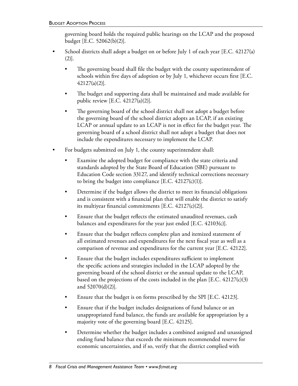governing board holds the required public hearings on the LCAP and the proposed budget [E.C. 52062(b)(2)].

- School districts shall adopt a budget on or before July 1 of each year [E.C. 42127(a) (2)].
	- The governing board shall file the budget with the county superintendent of schools within five days of adoption or by July 1, whichever occurs first [E.C. 42127(a)(2)].
	- The budget and supporting data shall be maintained and made available for public review [E.C. 42127(a)(2)].
	- The governing board of the school district shall not adopt a budget before the governing board of the school district adopts an LCAP, if an existing LCAP or annual update to an LCAP is not in effect for the budget year. The governing board of a school district shall not adopt a budget that does not include the expenditures necessary to implement the LCAP.
- For budgets submitted on July 1, the county superintendent shall:
	- Examine the adopted budget for compliance with the state criteria and standards adopted by the State Board of Education (SBE) pursuant to Education Code section 33127, and identify technical corrections necessary to bring the budget into compliance  $[EC. 42127(c)(1)].$
	- Determine if the budget allows the district to meet its financial obligations and is consistent with a financial plan that will enable the district to satisfy its multiyear financial commitments [E.C. 42127(c)(2)].
	- Ensure that the budget reflects the estimated unaudited revenues, cash balances and expenditures for the year just ended [E.C. 42103(c)].
	- Ensure that the budget reflects complete plan and itemized statement of all estimated revenues and expenditures for the next fiscal year as well as a comparison of revenue and expenditures for the current year [E.C. 42122].
	- Ensure that the budget includes expenditures sufficient to implement the specific actions and strategies included in the LCAP adopted by the governing board of the school district or the annual update to the LCAP, based on the projections of the costs included in the plan  $[EC. 42127(c)(3)$ and 52070(d)(2)].
	- Ensure that the budget is on forms prescribed by the SPI [E.C. 42123].
	- Ensure that if the budget includes designations of fund balance or an unappropriated fund balance, the funds are available for appropriation by a majority vote of the governing board [E.C. 42125].
	- Determine whether the budget includes a combined assigned and unassigned ending fund balance that exceeds the minimum recommended reserve for economic uncertainties, and if so, verify that the district complied with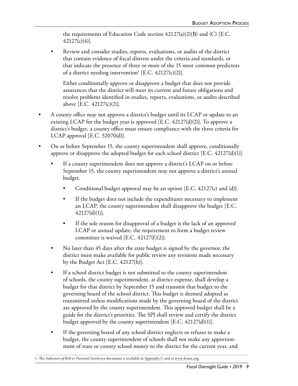the requirements of Education Code section 42127(a)(2)(B) and (C) [E.C. 42127(c)(4)].

• Review and consider studies, reports, evaluations, or audits of the district that contain evidence of fiscal distress under the criteria and standards, or that indicate the presence of three or more of the 15 most common predictors of a district needing intervention $\mathrm{^{1}}$  [E.C. 42127(c)(2)].

Either conditionally approve or disapprove a budget that does not provide assurances that the district will meet its current and future obligations and resolve problems identified in studies, reports, evaluations, or audits described above [E.C. 42127(c)(2)].

- A county office may not approve a district's budget until its LCAP or update to an existing LCAP for the budget year is approved [E.C.  $42127(d)(2)$ ]. To approve a district's budget, a county office must ensure compliance with the three criteria for LCAP approval [E.C. 52070(d)].
- On or before September 15, the county superintendent shall approve, conditionally approve or disapprove the adopted budget for each school district [E.C.  $42127(d)(1)$ ].
	- If a county superintendent does not approve a district's LCAP on or before September 15, the county superintendent may not approve a district's annual budget.
		- Conditional budget approval may be an option [E.C. 42127(c) and (d)].
		- If the budget does not include the expenditures necessary to implement an LCAP, the county superintendent shall disapprove the budget [E.C. 42127(d)(1)].
		- If the sole reason for disapproval of a budget is the lack of an approved LCAP or annual update, the requirement to form a budget review committee is waived [E.C.  $42127(f)(2)$ ].
	- No later than 45 days after the state budget is signed by the governor, the district must make available for public review any revisions made necessary by the Budget Act [E.C. 42127(h)].
	- If a school district budget is not submitted to the county superintendent of schools, the county superintendent, at district expense, shall develop a budget for that district by September 15 and transmit that budget to the governing board of the school district. This budget is deemed adopted as transmitted unless modifications made by the governing board of the district are approved by the county superintendent. This approved budget shall be a guide for the district's priorities. The SPI shall review and certify the district budget approved by the county superintendent [E.C. 42127(d)(1)].
	- If the governing board of any school district neglects or refuses to make a budget, the county superintendent of schools shall not make any apportionment of state or county school money to the district for the current year, and

<sup>1.</sup> The *Indicators of Risk or Potential Insolvency* document is available in [Appendix C](#page-69-1) and at [www.fcmat.org.](http://www.fcmat.org)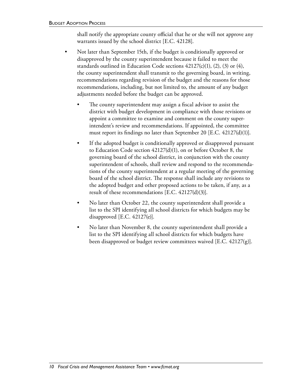shall notify the appropriate county official that he or she will not approve any warrants issued by the school district [E.C. 42128].

- Not later than September 15th, if the budget is conditionally approved or disapproved by the county superintendent because it failed to meet the standards outlined in Education Code sections  $42127(c)(1)$ ,  $(2)$ ,  $(3)$  or  $(4)$ , the county superintendent shall transmit to the governing board, in writing, recommendations regarding revision of the budget and the reasons for those recommendations, including, but not limited to, the amount of any budget adjustments needed before the budget can be approved.
	- The county superintendent may assign a fiscal advisor to assist the district with budget development in compliance with those revisions or appoint a committee to examine and comment on the county superintendent's review and recommendations. If appointed, the committee must report its findings no later than September 20 [E.C. 42127(d)(1)].
	- If the adopted budget is conditionally approved or disapproved pursuant to Education Code section 42127(d)(1), on or before October 8, the governing board of the school district, in conjunction with the county superintendent of schools, shall review and respond to the recommendations of the county superintendent at a regular meeting of the governing board of the school district. The response shall include any revisions to the adopted budget and other proposed actions to be taken, if any, as a result of these recommendations [E.C.  $42127(d)(3)$ ].
	- No later than October 22, the county superintendent shall provide a list to the SPI identifying all school districts for which budgets may be disapproved [E.C. 42127(e)].
	- No later than November 8, the county superintendent shall provide a list to the SPI identifying all school districts for which budgets have been disapproved or budget review committees waived [E.C. 42127(g)].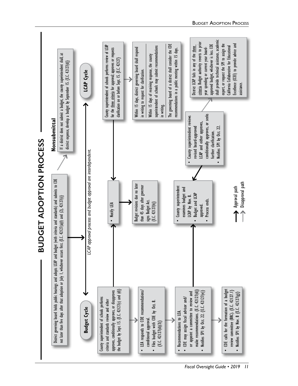*Fiscal Oversight Guide 40 oversight Guide by Nov.* 8: Compy superimendent reviews<br> *Fiscal Oversight Guide 40 oversight Guide Cuide Cuide Cuide of the state of the state of the state of the state of the state of the mass* shall provide technical assistance, academic criteria. Budget authority reverts to prior shall provide technical assistance, academic expert, or request the SPI to assign the Excellence (CCEE) to provide advice and The governing board of a district shall consider the COE criteria. Budget authority reverts to prio approved budget, whichever is less. COE expert, or request the SPI to assign the County superintendent of schools performs review of LCAP The governing board of a district shall consider the COE approved budget, whichever is less. COE Excellence (CCEE) to provide advice and California Collaborative for Educational County superintendent of schools performs review of LCAP superintendent of schools may submit recommendations District LCAP fails in any of the three California Collaborative for Educational superintendent of schools may submit recommendations District LCAP fails in any of the three Within 15 days, district governing board shall respond for the three criteria for approval; approves or requests three criteria for approval; approves or requests Within 15 days, district governing board shall respond year spending or current year boardrecommendations in a public meeting within 15 days. year spending or current year boardrecommendations in a public meeting within 15 days. If a district does not submit a budget, the county superintendent shall, at If a district does not submit a budget, the county superintendent shall, at Within 15 days of receiving response, the county Within 15 days of receiving response, the county darification on or before Sept. 15. {E.C. 42127} darification on or before Sept. 15.  $\{ \text{E.C. 42127}\}$ district expense, develop a budget by September 15. {E.C. 42127(d)} district expense, develop a budget by September 15. {E.C. 42127(d)} in writing to request for darification. LCAP Cycle in writing to request for clarification. **Budget Cycle LCAP Cycle** assistance. in writing. conditionally approves, or seeks conditionally approves, or seeks County superintendent reviews County superintendent reviews Nonsubmittal **Nonsubmittal** LCAP and either approves, LCAP and either approves, revised board-approved revised board-approved Notifies SPI by Oct. 22. Notifies SPI by Oct. 22.further clarification. further clarification. **BUDGET ADOPTION PROCESS BUDGET ADOPTION PROCESS** LCAP approval process and budget approval are interdependent. *LCAP approval process and budget approval are interdependent.* ••District governing board holds public hearings and adopts LCAP and budget (with criteria and standards) and submits to COE District governing board holds public hearings and adopts LCAP and budget (with criteria and standards) and submits to COE Disapproval path Budget revisions due no later Disapproval path Budget revisions due no later than 45 days after governor than 45 days after governor County superintendent examines budget and frace provided **A** County superintendent examines budget and • Budget and LCAP Budget and LCAP LCAP by Nov. 8. not later than five days after that adoption or July 1, whichever occurs first. {E.C. 42127(a)(l) and (2), 42127(i)} not later than five days after that adoption or July 1, whichever occurs first. {E.C. 42127(a)(l) and (2), 42127(i)} signs Budget Act.<br> $\{E.C. 42127(h)\}$ Process ends. signs Budget Act. • Process ends. approved. • Notify LEA •approves, conditionally approves, or disapproves<br>the budget by Sept. 15. {E.C. 42127(c) and (d)} COE calls for the formation of a budget approves, conditionally approves, or disapproves the budget by Sept. 15. {E.C. 42127(c) and (d)} LEA responds to COE recommendations/ LEA responds to COE recommendations/ or appoint a committee to review and make recommendations.  $\{E.C. 42127(d)\}$ make recommendations.  $\{E.C. 42127(d)\}$ COE calls for the formation of a budget review committee (BRC). {E.C. 42127.1} or appoint a committee to review and Notifies SPI by Oct. 22. {E.C. 42127(e)} review committee (BRC). {E.C. 42127.1} - Notifies SPI by Oct. 22.  $\{ \text{E.C. 42127(e)} \}$ Notifies SPI by Nov. 8 {E.C. 42127(g)} • Notifies SPI by Nov. 8  $\{E.C.~42127(g)\}$ County superintendent of schools performs COE may assign fiscal advisor and/ County superintendent of schools performs COE may assign fiscal advisor and/ criteria and standards review and either criteria and standards review and either Files budget with COE by Oct. 8.<br>{E.C. 42127(d)(3)} Files budget with COE by Oct. 8. **Budget Cycle** Recommendations to LEA. • Recommendations to LEA. conditional approval. conditional approval.  $\{E.C. 42127(d)(3)\}$ •••••••

Fiscal Oversight Guide . 2019  $\overline{11}$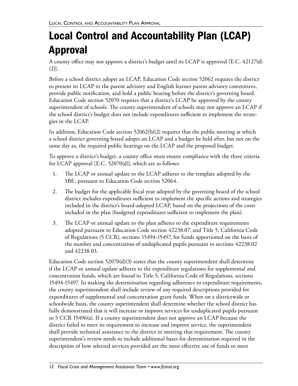### <span id="page-17-0"></span>Local Control and Accountability Plan (LCAP) Approval

A county office may not approve a district's budget until its LCAP is approved [E.C. 42127(d) (2)].

Before a school district adopts an LCAP, Education Code section 52062 requires the district to present its LCAP to the parent advisory and English learner parent advisory committees, provide public notification, and hold a public hearing before the district's governing board. Education Code section 52070 requires that a district's LCAP be approved by the county superintendent of schools. The county superintendent of schools may not approve an LCAP if the school district's budget does not include expenditures sufficient to implement the strategies in the LCAP.

In addition, Education Code section 52062(b)(2) requires that the public meeting at which a school district governing board adopts an LCAP and a budget be held after, but not on the same day as, the required public hearings on the LCAP and the proposed budget.

To approve a district's budget, a county office must ensure compliance with the three criteria for LCAP approval [E.C. 52070(d)], which are as follows:

- 1. The LCAP or annual update to the LCAP adheres to the template adopted by the SBE, pursuant to Education Code section 52064.
- 2. The budget for the applicable fiscal year adopted by the governing board of the school district includes expenditures sufficient to implement the specific actions and strategies included in the district's board-adopted LCAP, based on the projections of the costs included in the plan (budgeted expenditures sufficient to implement the plan).
- 3. The LCAP or annual update to the plan adheres to the expenditure requirements adopted pursuant to Education Code section 42238.07, and Title 5, California Code of Regulations (5 CCR), sections 15494-15497, for funds apportioned on the basis of the number and concentration of unduplicated pupils pursuant to sections 42238.02 and 42238.03.

Education Code section 52070(d)(3) states that the county superintendent shall determine if the LCAP or annual update adheres to the expenditure regulations for supplemental and concentration funds, which are found in Title 5, California Code of Regulations, sections 15494-15497. In making the determination regarding adherence to expenditure requirements, the county superintendent shall include review of any required descriptions provided for expenditures of supplemental and concentration grant funds. When on a districtwide or schoolwide basis, the county superintendent shall determine whether the school district has fully demonstrated that it will increase or improve services for unduplicated pupils pursuant to 5 CCR 15496(a). If a county superintendent does not approve an LCAP because the district failed to meet its requirement to increase and improve service, the superintendent shall provide technical assistance to the district in meeting that requirement. The county superintendent's review needs to include additional bases for determination required in the description of how selected services provided are the most effective use of funds to meet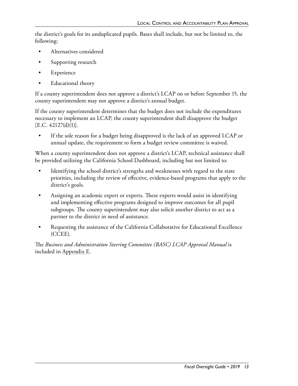the district's goals for its unduplicated pupils. Bases shall include, but not be limited to, the following:

- Alternatives considered
- Supporting research
- **Experience**
- Educational theory

If a county superintendent does not approve a district's LCAP on or before September 15, the county superintendent may not approve a district's annual budget.

If the county superintendent determines that the budget does not include the expenditures necessary to implement an LCAP, the county superintendent shall disapprove the budget  $[E.C. 42127(d)(1)].$ 

If the sole reason for a budget being disapproved is the lack of an approved LCAP or annual update, the requirement to form a budget review committee is waived.

When a county superintendent does not approve a district's LCAP, technical assistance shall be provided utilizing the California School Dashboard, including but not limited to:

- Identifying the school district's strengths and weaknesses with regard to the state priorities, including the review of effective, evidence-based programs that apply to the district's goals.
- Assigning an academic expert or experts. These experts would assist in identifying and implementing effective programs designed to improve outcomes for all pupil subgroups. The county superintendent may also solicit another district to act as a partner to the district in need of assistance.
- Requesting the assistance of the California Collaborative for Educational Excellence (CCEE).

The *Business and Administration Steering Committee (BASC) LCAP Approval Manual* is included in [Appendix E](#page-71-1).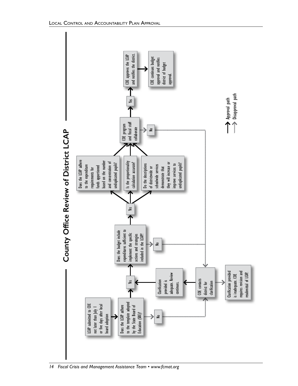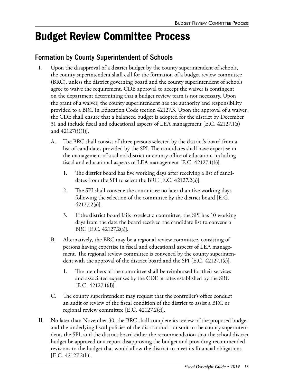### <span id="page-20-0"></span>Budget Review Committee Process

### Formation by County Superintendent of Schools

- I. Upon the disapproval of a district budget by the county superintendent of schools, the county superintendent shall call for the formation of a budget review committee (BRC), unless the district governing board and the county superintendent of schools agree to waive the requirement. CDE approval to accept the waiver is contingent on the department determining that a budget review team is not necessary. Upon the grant of a waiver, the county superintendent has the authority and responsibility provided to a BRC in Education Code section 42127.3. Upon the approval of a waiver, the CDE shall ensure that a balanced budget is adopted for the district by December 31 and include fiscal and educational aspects of LEA management [E.C. 42127.1(a) and 42127(f)(1)].
	- A. The BRC shall consist of three persons selected by the district's board from a list of candidates provided by the SPI. The candidates shall have expertise in the management of a school district or county office of education, including fiscal and educational aspects of LEA management [E.C. 42127.1(b)].
		- 1. The district board has five working days after receiving a list of candidates from the SPI to select the BRC [E.C. 42127.2(a)].
		- 2. The SPI shall convene the committee no later than five working days following the selection of the committee by the district board [E.C. 42127.2(a)].
		- 3. If the district board fails to select a committee, the SPI has 10 working days from the date the board received the candidate list to convene a BRC [E.C. 42127.2(a)].
	- B. Alternatively, the BRC may be a regional review committee, consisting of persons having expertise in fiscal and educational aspects of LEA management. The regional review committee is convened by the county superintendent with the approval of the district board and the SPI [E.C. 42127.1(c)].
		- 1. The members of the committee shall be reimbursed for their services and associated expenses by the CDE at rates established by the SBE [E.C. 42127.1(d)].
	- C. The county superintendent may request that the controller's office conduct an audit or review of the fiscal condition of the district to assist a BRC or regional review committee [E.C. 42127.2(e)].
- II. No later than November 30, the BRC shall complete its review of the proposed budget and the underlying fiscal policies of the district and transmit to the county superintendent, the SPI, and the district board either the recommendation that the school district budget be approved or a report disapproving the budget and providing recommended revisions to the budget that would allow the district to meet its financial obligations [E.C. 42127.2(b)].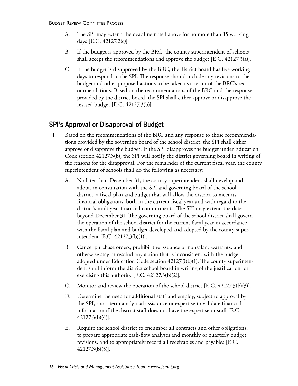- A. The SPI may extend the deadline noted above for no more than 15 working days [E.C. 42127.2(c)].
- B. If the budget is approved by the BRC, the county superintendent of schools shall accept the recommendations and approve the budget [E.C. 42127.3(a)].
- C. If the budget is disapproved by the BRC, the district board has five working days to respond to the SPI. The response should include any revisions to the budget and other proposed actions to be taken as a result of the BRC's recommendations. Based on the recommendations of the BRC and the response provided by the district board, the SPI shall either approve or disapprove the revised budget [E.C. 42127.3(b)].

### SPI's Approval or Disapproval of Budget

- I. Based on the recommendations of the BRC and any response to those recommendations provided by the governing board of the school district, the SPI shall either approve or disapprove the budget. If the SPI disapproves the budget under Education Code section 42127.3(b), the SPI will notify the district governing board in writing of the reasons for the disapproval. For the remainder of the current fiscal year, the county superintendent of schools shall do the following as necessary:
	- A. No later than December 31, the county superintendent shall develop and adopt, in consultation with the SPI and governing board of the school district, a fiscal plan and budget that will allow the district to meet its financial obligations, both in the current fiscal year and with regard to the district's multiyear financial commitments. The SPI may extend the date beyond December 31. The governing board of the school district shall govern the operation of the school district for the current fiscal year in accordance with the fiscal plan and budget developed and adopted by the county superintendent [E.C. 42127.3(b)(1)].
	- B. Cancel purchase orders, prohibit the issuance of nonsalary warrants, and otherwise stay or rescind any action that is inconsistent with the budget adopted under Education Code section 42127.3(b)(1). The county superintendent shall inform the district school board in writing of the justification for exercising this authority [E.C. 42127.3(b)(2)].
	- C. Monitor and review the operation of the school district [E.C. 42127.3(b)(3)].
	- D. Determine the need for additional staff and employ, subject to approval by the SPI, short-term analytical assistance or expertise to validate financial information if the district staff does not have the expertise or staff [E.C. 42127.3(b)(4)].
	- E. Require the school district to encumber all contracts and other obligations, to prepare appropriate cash-flow analyses and monthly or quarterly budget revisions, and to appropriately record all receivables and payables [E.C. 42127.3(b)(5)].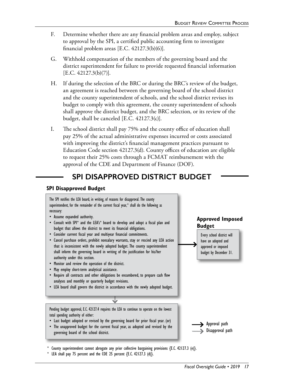- F. Determine whether there are any financial problem areas and employ, subject to approval by the SPI, a certified public accounting firm to investigate financial problem areas [E.C. 42127.3(b)(6)].
- G. Withhold compensation of the members of the governing board and the district superintendent for failure to provide requested financial information  $[E.C. 42127.3(b)(7)].$
- H. If during the selection of the BRC or during the BRC's review of the budget, an agreement is reached between the governing board of the school district and the county superintendent of schools, and the school district revises its budget to comply with this agreement, the county superintendent of schools shall approve the district budget, and the BRC selection, or its review of the budget, shall be canceled [E.C. 42127.3(c)].
- I. The school district shall pay 75% and the county office of education shall pay 25% of the actual administrative expenses incurred or costs associated with improving the district's financial management practices pursuant to Education Code section 42127.3(d). County offices of education are eligible to request their 25% costs through a FCMAT reimbursement with the approval of the CDE and Department of Finance (DOF).

### **SPI DISAPPROVED DISTRICT BUDGET**

#### **SPI Disapproved Budget**



\* County superintendent cannot abrogate any prior collective bargaining provisions {E.C. 42127.3 (e)}.

 $*$  LEA shall pay 75 percent and the COE 25 percent  ${E.C. 42127.3 (d)}$ .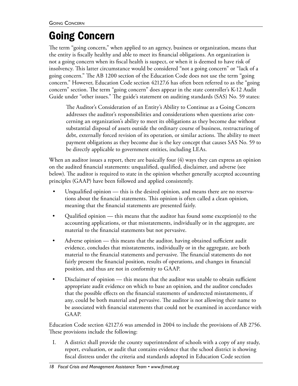### <span id="page-23-0"></span>Going Concern

The term "going concern," when applied to an agency, business or organization, means that the entity is fiscally healthy and able to meet its financial obligations. An organization is not a going concern when its fiscal health is suspect, or when it is deemed to have risk of insolvency. This latter circumstance would be considered "not a going concern" or "lack of a going concern." The AB 1200 section of the Education Code does not use the term "going concern." However, Education Code section 42127.6 has often been referred to as the "going concern" section. The term "going concern" does appear in the state controller's K-12 Audit Guide under "other issues." The guide's statement on auditing standards (SAS) No. 59 states:

The Auditor's Consideration of an Entity's Ability to Continue as a Going Concern addresses the auditor's responsibilities and considerations when questions arise concerning an organization's ability to meet its obligations as they become due without substantial disposal of assets outside the ordinary course of business, restructuring of debt, externally forced revision of its operation, or similar actions. The ability to meet payment obligations as they become due is the key concept that causes SAS No. 59 to be directly applicable to government entities, including LEAs.

When an auditor issues a report, there are basically four (4) ways they can express an opinion on the audited financial statements: unqualified, qualified, disclaimer, and adverse (see below). The auditor is required to state in the opinion whether generally accepted accounting principles (GAAP) have been followed and applied consistently.

- *•* Unqualified opinion this is the desired opinion, and means there are no reservations about the financial statements. This opinion is often called a clean opinion, meaning that the financial statements are presented fairly.
- Qualified opinion this means that the auditor has found some exception(s) to the accounting applications, or that misstatements, individually or in the aggregate, are material to the financial statements but not pervasive.
- Adverse opinion this means that the auditor, having obtained sufficient audit evidence, concludes that misstatements, individually or in the aggregate, are both material to the financial statements and pervasive. The financial statements do not fairly present the financial position, results of operations, and changes in financial position, and thus are not in conformity to GAAP.
- Disclaimer of opinion this means that the auditor was unable to obtain sufficient appropriate audit evidence on which to base an opinion, and the auditor concludes that the possible effects on the financial statements of undetected misstatements, if any, could be both material and pervasive. The auditor is not allowing their name to be associated with financial statements that could not be examined in accordance with GAAP.

Education Code section 42127.6 was amended in 2004 to include the provisions of AB 2756. These provisions include the following:

I. A district shall provide the county superintendent of schools with a copy of any study, report, evaluation, or audit that contains evidence that the school district is showing fiscal distress under the criteria and standards adopted in Education Code section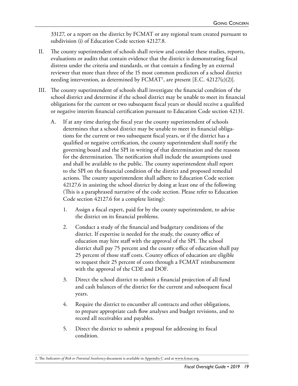33127, or a report on the district by FCMAT or any regional team created pursuant to subdivision (i) of Education Code section 42127.8.

- II. The county superintendent of schools shall review and consider these studies, reports, evaluations or audits that contain evidence that the district is demonstrating fiscal distress under the criteria and standards, or that contain a finding by an external reviewer that more than three of the 15 most common predictors of a school district needing intervention, as determined by FCMAT2 , are present [E.C. 42127(c)(2)].
- III. The county superintendent of schools shall investigate the financial condition of the school district and determine if the school district may be unable to meet its financial obligations for the current or two subsequent fiscal years or should receive a qualified or negative interim financial certification pursuant to Education Code section 42131.
	- A. If at any time during the fiscal year the county superintendent of schools determines that a school district may be unable to meet its financial obligations for the current or two subsequent fiscal years, or if the district has a qualified or negative certification, the county superintendent shall notify the governing board and the SPI in writing of that determination and the reasons for the determination. The notification shall include the assumptions used and shall be available to the public. The county superintendent shall report to the SPI on the financial condition of the district and proposed remedial actions. The county superintendent shall adhere to Education Code section 42127.6 in assisting the school district by doing at least one of the following (This is a paraphrased narrative of the code section. Please refer to Education Code section 42127.6 for a complete listing):
		- 1. Assign a fiscal expert, paid for by the county superintendent, to advise the district on its financial problems.
		- 2. Conduct a study of the financial and budgetary conditions of the district. If expertise is needed for the study, the county office of education may hire staff with the approval of the SPI. The school district shall pay 75 percent and the county office of education shall pay 25 percent of those staff costs. County offices of education are eligible to request their 25 percent of costs through a FCMAT reimbursement with the approval of the CDE and DOF.
		- 3. Direct the school district to submit a financial projection of all fund and cash balances of the district for the current and subsequent fiscal years.
		- 4. Require the district to encumber all contracts and other obligations, to prepare appropriate cash flow analyses and budget revisions, and to record all receivables and payables.
		- 5. Direct the district to submit a proposal for addressing its fiscal condition.

<sup>2.</sup> The *Indicators of Risk or Potential Insolvency* document is available in [Appendix C](#page-69-1) and at [www.fcmat.org](http://www.fcmat.org).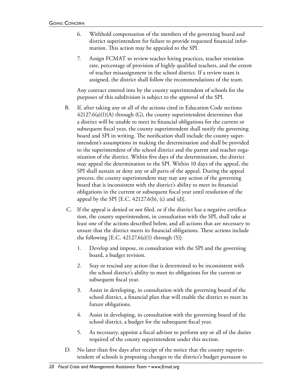- 6. Withhold compensation of the members of the governing board and district superintendent for failure to provide requested financial information. This action may be appealed to the SPI.
- 7. Assign FCMAT to review teacher hiring practices, teacher retention rate, percentage of provision of highly qualified teachers, and the extent of teacher misassignment in the school district. If a review team is assigned, the district shall follow the recommendations of the team.

Any contract entered into by the county superintendent of schools for the purposes of this subdivision is subject to the approval of the SPI.

- B. If, after taking any or all of the actions cited in Education Code sections  $42127.6(a)(1)(A)$  through (G), the county superintendent determines that a district will be unable to meet its financial obligations for the current or subsequent fiscal year, the county superintendent shall notify the governing board and SPI in writing. The notification shall include the county superintendent's assumptions in making the determination and shall be provided to the superintendent of the school district and the parent and teacher organization of the district. Within five days of the determination, the district may appeal the determination to the SPI. Within 10 days of the appeal, the SPI shall sustain or deny any or all parts of the appeal. During the appeal process, the county superintendent may stay any action of the governing board that is inconsistent with the district's ability to meet its financial obligations in the current or subsequent fiscal year until resolution of the appeal by the SPI [E.C.  $42127.6(b)$ , (c) and (d)].
- C. If the appeal is denied or not filed, or if the district has a negative certification, the county superintendent, in consultation with the SPI, shall take at least one of the actions described below, and all actions that are necessary to ensure that the district meets its financial obligations. These actions include the following  $[E.C. 42127.6(e)(1)$  through  $(5)$ :
	- 1. Develop and impose, in consultation with the SPI and the governing board, a budget revision.
	- 2. Stay or rescind any action that is determined to be inconsistent with the school district's ability to meet its obligations for the current or subsequent fiscal year.
	- 3. Assist in developing, in consultation with the governing board of the school district, a financial plan that will enable the district to meet its future obligations.
	- 4. Assist in developing, in consultation with the governing board of the school district, a budget for the subsequent fiscal year.
	- 5. As necessary, appoint a fiscal advisor to perform any or all of the duties required of the county superintendent under this section.
- D. No later than five days after receipt of the notice that the county superintendent of schools is proposing changes to the district's budget pursuant to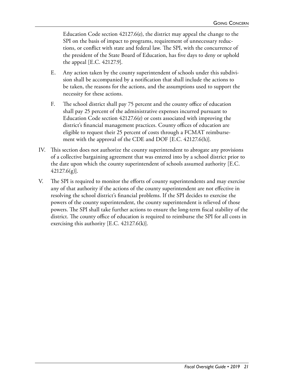Education Code section 42127.6(e), the district may appeal the change to the SPI on the basis of impact to programs, requirement of unnecessary reductions, or conflict with state and federal law. The SPI, with the concurrence of the president of the State Board of Education, has five days to deny or uphold the appeal [E.C. 42127.9].

- E. Any action taken by the county superintendent of schools under this subdivision shall be accompanied by a notification that shall include the actions to be taken, the reasons for the actions, and the assumptions used to support the necessity for these actions.
- F. The school district shall pay 75 percent and the county office of education shall pay 25 percent of the administrative expenses incurred pursuant to Education Code section 42127.6(e) or costs associated with improving the district's financial management practices. County offices of education are eligible to request their 25 percent of costs through a FCMAT reimbursement with the approval of the CDE and DOF [E.C. 42127.6(h)].
- IV. This section does not authorize the county superintendent to abrogate any provisions of a collective bargaining agreement that was entered into by a school district prior to the date upon which the county superintendent of schools assumed authority [E.C.  $42127.6(g)$ ].
- V. The SPI is required to monitor the efforts of county superintendents and may exercise any of that authority if the actions of the county superintendent are not effective in resolving the school district's financial problems. If the SPI decides to exercise the powers of the county superintendent, the county superintendent is relieved of those powers. The SPI shall take further actions to ensure the long-term fiscal stability of the district. The county office of education is required to reimburse the SPI for all costs in exercising this authority [E.C.  $42127.6(k)$ ].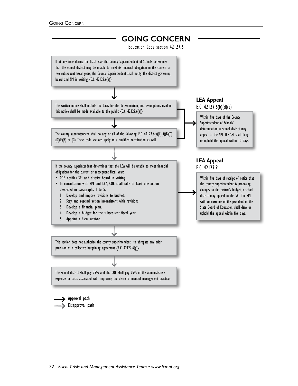

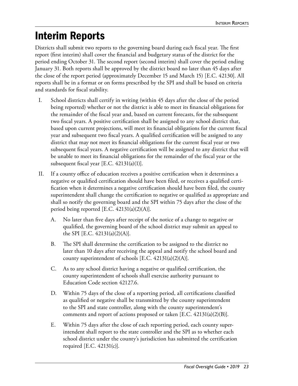### <span id="page-28-0"></span>Interim Reports

Districts shall submit two reports to the governing board during each fiscal year. The first report (first interim) shall cover the financial and budgetary status of the district for the period ending October 31. The second report (second interim) shall cover the period ending January 31. Both reports shall be approved by the district board no later than 45 days after the close of the report period (approximately December 15 and March 15) [E.C. 42130]. All reports shall be in a format or on forms prescribed by the SPI and shall be based on criteria and standards for fiscal stability.

- I. School districts shall certify in writing (within 45 days after the close of the period being reported) whether or not the district is able to meet its financial obligations for the remainder of the fiscal year and, based on current forecasts, for the subsequent two fiscal years. A positive certification shall be assigned to any school district that, based upon current projections, will meet its financial obligations for the current fiscal year and subsequent two fiscal years. A qualified certification will be assigned to any district that may not meet its financial obligations for the current fiscal year or two subsequent fiscal years. A negative certification will be assigned to any district that will be unable to meet its financial obligations for the remainder of the fiscal year or the subsequent fiscal year [E.C. 42131(a)(1)].
- II. If a county office of education receives a positive certification when it determines a negative or qualified certification should have been filed, or receives a qualified certification when it determines a negative certification should have been filed, the county superintendent shall change the certification to negative or qualified as appropriate and shall so notify the governing board and the SPI within 75 days after the close of the period being reported [E.C. 42131(a)(2)(A)].
	- A. No later than five days after receipt of the notice of a change to negative or qualified, the governing board of the school district may submit an appeal to the SPI [E.C. 42131(a)(2)(A)].
	- B. The SPI shall determine the certification to be assigned to the district no later than 10 days after receiving the appeal and notify the school board and county superintendent of schools [E.C.  $42131(a)(2)(A)$ ].
	- C. As to any school district having a negative or qualified certification, the county superintendent of schools shall exercise authority pursuant to Education Code section 42127.6.
	- D. Within 75 days of the close of a reporting period, all certifications classified as qualified or negative shall be transmitted by the county superintendent to the SPI and state controller, along with the county superintendent's comments and report of actions proposed or taken [E.C. 42131(a)(2)(B)].
	- E. Within 75 days after the close of each reporting period, each county superintendent shall report to the state controller and the SPI as to whether each school district under the county's jurisdiction has submitted the certification required [E.C. 42131(c)].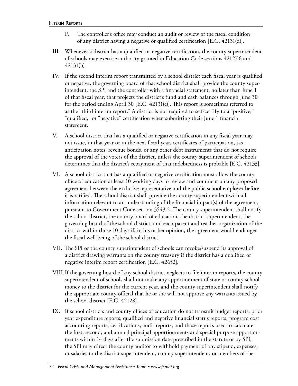- F. The controller's office may conduct an audit or review of the fiscal condition of any district having a negative or qualified certification [E.C. 42131(d)].
- III. Whenever a district has a qualified or negative certification, the county superintendent of schools may exercise authority granted in Education Code sections 42127.6 and 42131(b).
- IV. If the second interim report transmitted by a school district each fiscal year is qualified or negative, the governing board of that school district shall provide the county superintendent, the SPI and the controller with a financial statement, no later than June 1 of that fiscal year, that projects the district's fund and cash balances through June 30 for the period ending April 30 [E.C. 42131(e)]. This report is sometimes referred to as the "third interim report." A district is not required to self-certify to a "positive," "qualified," or "negative" certification when submitting their June 1 financial statement.
- V. A school district that has a qualified or negative certification in any fiscal year may not issue, in that year or in the next fiscal year, certificates of participation, tax anticipation notes, revenue bonds, or any other debt instruments that do not require the approval of the voters of the district, unless the county superintendent of schools determines that the district's repayment of that indebtedness is probable [E.C. 42133].
- VI. A school district that has a qualified or negative certification must allow the county office of education at least 10 working days to review and comment on any proposed agreement between the exclusive representative and the public school employer before it is ratified. The school district shall provide the county superintendent with all information relevant to an understanding of the financial impact(s) of the agreement, pursuant to Government Code section 3543.2. The county superintendent shall notify the school district, the county board of education, the district superintendent, the governing board of the school district, and each parent and teacher organization of the district within those 10 days if, in his or her opinion, the agreement would endanger the fiscal well-being of the school district.
- VII. The SPI or the county superintendent of schools can revoke/suspend its approval of a district drawing warrants on the county treasury if the district has a qualified or negative interim report certification [E.C. 42652].
- VIII.If the governing board of any school district neglects to file interim reports, the county superintendent of schools shall not make any apportionment of state or county school money to the district for the current year, and the county superintendent shall notify the appropriate county official that he or she will not approve any warrants issued by the school district [E.C. 42128].
- IX. If school districts and county offices of education do not transmit budget reports, prior year expenditure reports, qualified and negative financial status reports, program cost accounting reports, certifications, audit reports, and those reports used to calculate the first, second, and annual principal apportionments and special purpose apportionments within 14 days after the submission date prescribed in the statute or by SPI, the SPI may direct the county auditor to withhold payment of any stipend, expenses, or salaries to the district superintendent, county superintendent, or members of the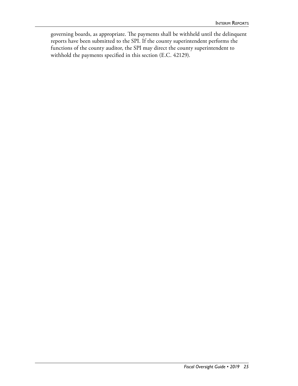governing boards, as appropriate. The payments shall be withheld until the delinquent reports have been submitted to the SPI. If the county superintendent performs the functions of the county auditor, the SPI may direct the county superintendent to withhold the payments specified in this section (E.C. 42129).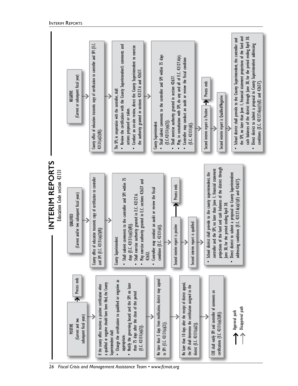

*26 Fiscal Crisis and Management Assistance Team • <www.fcmat.org>*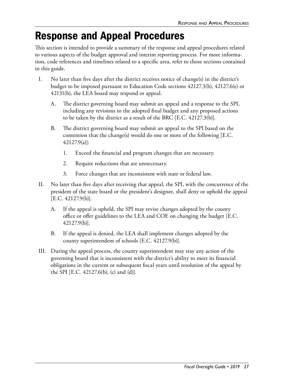### <span id="page-32-0"></span>Response and Appeal Procedures

This section is intended to provide a summary of the response and appeal procedures related to various aspects of the budget approval and interim reporting process. For more information, code references and timelines related to a specific area, refer to those sections contained in this guide.

- I. No later than five days after the district receives notice of change(s) in the district's budget to be imposed pursuant to Education Code sections 42127.3(b), 42127.6(e) or 42131(b), the LEA board may respond or appeal.
	- A. The district governing board may submit an appeal and a response to the SPI, including any revisions to the adopted final budget and any proposed actions to be taken by the district as a result of the BRC [E.C. 42127.3(b)].
	- B. The district governing board may submit an appeal to the SPI based on the contention that the change(s) would do one or more of the following [E.C. 42127.9(a)]:
		- 1. Exceed the financial and program changes that are necessary.
		- 2. Require reductions that are unnecessary.
		- 3. Force changes that are inconsistent with state or federal law.
- II. No later than five days after receiving that appeal, the SPI, with the concurrence of the president of the state board or the president's designee, shall deny or uphold the appeal [E.C. 42127.9(b)].
	- A. If the appeal is upheld, the SPI may revise changes adopted by the county office or offer guidelines to the LEA and COE on changing the budget [E.C. 42127.9(b)].
	- B. If the appeal is denied, the LEA shall implement changes adopted by the county superintendent of schools [E.C. 42127.9(b)].
- III. During the appeal process, the county superintendent may stay any action of the governing board that is inconsistent with the district's ability to meet its financial obligations in the current or subsequent fiscal years until resolution of the appeal by the SPI [E.C. 42127.6(b), (c) and (d)].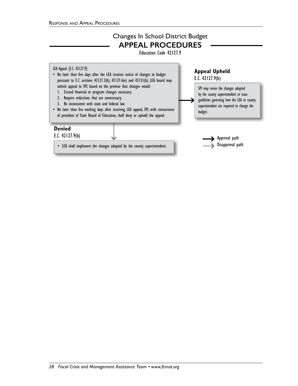### Changes In School District Budget **APPEAL PROCEDURES**

Education Code 42127.9

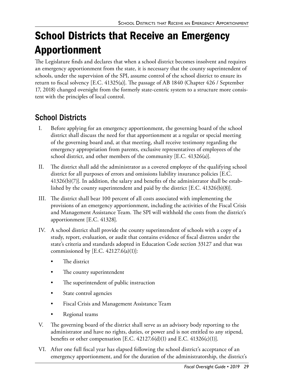### <span id="page-34-0"></span>School Districts that Receive an Emergency Apportionment

The Legislature finds and declares that when a school district becomes insolvent and requires an emergency apportionment from the state, it is necessary that the county superintendent of schools, under the supervision of the SPI, assume control of the school district to ensure its return to fiscal solvency [E.C. 41325(a)]. The passage of AB 1840 (Chapter 426 / September 17, 2018) changed oversight from the formerly state-centric system to a structure more consistent with the principles of local control.

### School Districts

- I. Before applying for an emergency apportionment, the governing board of the school district shall discuss the need for that apportionment at a regular or special meeting of the governing board and, at that meeting, shall receive testimony regarding the emergency appropriation from parents, exclusive representatives of employees of the school district, and other members of the community [E.C. 41326(a)].
- II. The district shall add the administrator as a covered employee of the qualifying school district for all purposes of errors and omissions liability insurance policies [E.C. 41326(b)(7)]. In addition, the salary and benefits of the administrator shall be established by the county superintendent and paid by the district [E.C. 41326(b)(8)].
- III. The district shall bear 100 percent of all costs associated with implementing the provisions of an emergency apportionment, including the activities of the Fiscal Crisis and Management Assistance Team. The SPI will withhold the costs from the district's apportionment [E.C. 41328].
- IV. A school district shall provide the county superintendent of schools with a copy of a study, report, evaluation, or audit that contains evidence of fiscal distress under the state's criteria and standards adopted in Education Code section 33127 and that was commissioned by [E.C.  $42127.6(a)(1)$ ]:
	- The district
	- The county superintendent
	- The superintendent of public instruction
	- State control agencies
	- Fiscal Crisis and Management Assistance Team
	- Regional teams
- V. The governing board of the district shall serve as an advisory body reporting to the administrator and have no rights, duties, or power and is not entitled to any stipend, benefits or other compensation [E.C. 42127.6(d)(1) and E.C. 41326(c)(1)].
- VI. After one full fiscal year has elapsed following the school district's acceptance of an emergency apportionment, and for the duration of the administratorship, the district's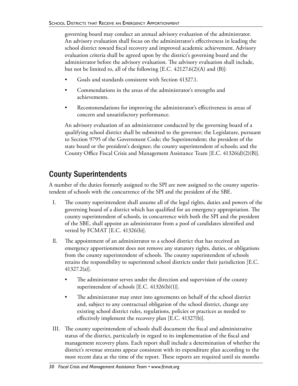governing board may conduct an annual advisory evaluation of the administrator. An advisory evaluation shall focus on the administrator's effectiveness in leading the school district toward fiscal recovery and improved academic achievement. Advisory evaluation criteria shall be agreed upon by the district's governing board and the administrator before the advisory evaluation. The advisory evaluation shall include, but not be limited to, all of the following [E.C. 42127.6(2)(A) and (B)]:

- Goals and standards consistent with Section 41327.1.
- Commendations in the areas of the administrator's strengths and achievements.
- Recommendations for improving the administrator's effectiveness in areas of concern and unsatisfactory performance.

An advisory evaluation of an administrator conducted by the governing board of a qualifying school district shall be submitted to the governor; the Legislature, pursuant to Section 9795 of the Government Code; the Superintendent; the president of the state board or the president's designee; the county superintendent of schools; and the County Office Fiscal Crisis and Management Assistance Team [E.C. 41326(d)(2)(B)].

### County Superintendents

A number of the duties formerly assigned to the SPI are now assigned to the county superintendent of schools with the concurrence of the SPI and the president of the SBE.

- I. The county superintendent shall assume all of the legal rights, duties and powers of the governing board of a district which has qualified for an emergency appropriation. The county superintendent of schools, in concurrence with both the SPI and the president of the SBE, shall appoint an administrator from a pool of candidates identified and vetted by FCMAT [E.C. 41326(b)].
- II. The appointment of an administrator to a school district that has received an emergency apportionment does not remove any statutory rights, duties, or obligations from the county superintendent of schools. The county superintendent of schools retains the responsibility to superintend school districts under their jurisdiction [E.C. 41327.2(a)].
	- The administrator serves under the direction and supervision of the county superintendent of schools [E.C. 41326(b)(1)].
	- The administrator may enter into agreements on behalf of the school district and, subject to any contractual obligation of the school district, change any existing school district rules, regulations, policies or practices as needed to effectively implement the recovery plan [E.C. 41327(b)].
- III. The county superintendent of schools shall document the fiscal and administrative status of the district, particularly in regard to its implementation of the fiscal and management recovery plans. Each report shall include a determination of whether the district's revenue streams appear consistent with its expenditure plan according to the most recent data at the time of the report. These reports are required until six months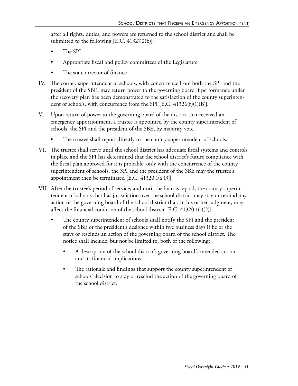after all rights, duties, and powers are returned to the school district and shall be submitted to the following [E.C. 41327.2(b)]:

- The SPI
- Appropriate fiscal and policy committees of the Legislature
- The state director of finance
- IV. The county superintendent of schools, with concurrence from both the SPI and the president of the SBE, may return power to the governing board if performance under the recovery plan has been demonstrated to the satisfaction of the county superintendent of schools, with concurrence from the SPI [E.C. 41326(f)(1)(B)].
- V. Upon return of power to the governing board of the district that received an emergency apportionment, a trustee is appointed by the county superintendent of schools, the SPI and the president of the SBE, by majority vote.
	- The trustee shall report directly to the county superintendent of schools.
- VI. The trustee shall serve until the school district has adequate fiscal systems and controls in place and the SPI has determined that the school district's future compliance with the fiscal plan approved for it is probable; only with the concurrence of the county superintendent of schools, the SPI and the president of the SBE may the trustee's appointment then be terminated [E.C.  $41320.1(a)(3)$ ].
- VII. After the trustee's period of service, and until the loan is repaid, the county superintendent of schools that has jurisdiction over the school district may stay or rescind any action of the governing board of the school district that, in his or her judgment, may affect the financial condition of the school district [E.C. 41320.1(c)(2)].
	- The county superintendent of schools shall notify the SPI and the president of the SBE or the president's designee within five business days if he or she stays or rescinds an action of the governing board of the school district. The notice shall include, but not be limited to, both of the following:
		- A description of the school district's governing board's intended action and its financial implications.
		- The rationale and findings that support the county superintendent of schools' decision to stay or rescind the action of the governing board of the school district.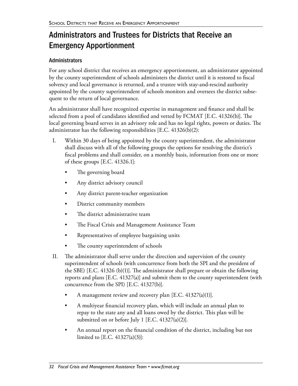## Administrators and Trustees for Districts that Receive an Emergency Apportionment

#### Administrators

For any school district that receives an emergency apportionment, an administrator appointed by the county superintendent of schools administers the district until it is restored to fiscal solvency and local governance is returned, and a trustee with stay-and-rescind authority appointed by the county superintendent of schools monitors and oversees the district subsequent to the return of local governance.

An administrator shall have recognized expertise in management and finance and shall be selected from a pool of candidates identified and vetted by FCMAT [E.C. 41326(b)]. The local governing board serves in an advisory role and has no legal rights, powers or duties. The administrator has the following responsibilities [E.C. 41326(b)(2):

- I. Within 30 days of being appointed by the county superintendent, the administrator shall discuss with all of the following groups the options for resolving the district's fiscal problems and shall consider, on a monthly basis, information from one or more of these groups [E.C. 41326.1]:
	- The governing board
	- Any district advisory council
	- Any district parent-teacher organization
	- District community members
	- The district administrative team
	- The Fiscal Crisis and Management Assistance Team
	- Representatives of employee bargaining units
	- The county superintendent of schools
- II. The administrator shall serve under the direction and supervision of the county superintendent of schools (with concurrence from both the SPI and the president of the SBE) [E.C. 41326 (b)(1)]. The administrator shall prepare or obtain the following reports and plans [E.C. 41327(a)] and submit them to the county superintendent (with concurrence from the SPI) [E.C. 41327(b)].
	- A management review and recovery plan [E.C.  $41327(a)(1)$ ].
	- A multiyear financial recovery plan, which will include an annual plan to repay to the state any and all loans owed by the district. This plan will be submitted on or before July 1 [E.C. 41327(a)(2)].
	- An annual report on the financial condition of the district, including but not limited to [E.C. 41327(a)(3)]: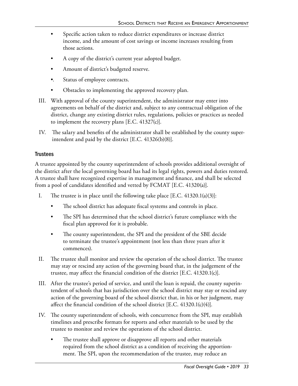- Specific action taken to reduce district expenditures or increase district income, and the amount of cost savings or income increases resulting from those actions.
- A copy of the district's current year adopted budget.
- Amount of district's budgeted reserve.
- •. Status of employee contracts.
- Obstacles to implementing the approved recovery plan.
- III. With approval of the county superintendent, the administrator may enter into agreements on behalf of the district and, subject to any contractual obligation of the district, change any existing district rules, regulations, policies or practices as needed to implement the recovery plans  $[EC. 41327(c)].$
- IV. The salary and benefits of the administrator shall be established by the county superintendent and paid by the district [E.C. 41326(b)(8)].

#### **Trustees**

A trustee appointed by the county superintendent of schools provides additional oversight of the district after the local governing board has had its legal rights, powers and duties restored. A trustee shall have recognized expertise in management and finance, and shall be selected from a pool of candidates identified and vetted by FCMAT [E.C. 41320(a)].

- I. The trustee is in place until the following take place [E.C. 41320.1(a)(3)]:
	- The school district has adequate fiscal systems and controls in place.
	- The SPI has determined that the school district's future compliance with the fiscal plan approved for it is probable.
	- The county superintendent, the SPI and the president of the SBE decide to terminate the trustee's appointment (not less than three years after it commences).
- II. The trustee shall monitor and review the operation of the school district. The trustee may stay or rescind any action of the governing board that, in the judgement of the trustee, may affect the financial condition of the district [E.C. 41320.1(c)].
- III. After the trustee's period of service, and until the loan is repaid, the county superintendent of schools that has jurisdiction over the school district may stay or rescind any action of the governing board of the school district that, in his or her judgment, may affect the financial condition of the school district [E.C.  $41320.1(c)(4)$ ].
- IV. The county superintendent of schools, with concurrence from the SPI, may establish timelines and prescribe formats for reports and other materials to be used by the trustee to monitor and review the operations of the school district.
	- The trustee shall approve or disapprove all reports and other materials required from the school district as a condition of receiving the apportionment. The SPI, upon the recommendation of the trustee, may reduce an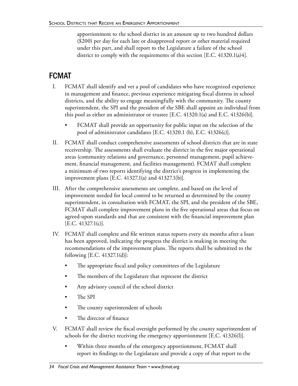apportionment to the school district in an amount up to two hundred dollars (\$200) per day for each late or disapproved report or other material required under this part, and shall report to the Legislature a failure of the school district to comply with the requirements of this section [E.C. 41320.1(a)4].

## FCMAT

- I. FCMAT shall identify and vet a pool of candidates who have recognized experience in management and finance, previous experience mitigating fiscal distress in school districts, and the ability to engage meaningfully with the community. The county superintendent, the SPI and the president of the SBE shall appoint an individual from this pool as either an administrator or trustee [E.C. 41320.1(a) and E.C. 41326(b)].
	- FCMAT shall provide an opportunity for public input on the selection of the pool of administrator candidates [E.C. 41320.1 (b), E.C. 41326(c)].
- II. FCMAT shall conduct comprehensive assessments of school districts that are in state receivership. The assessments shall evaluate the district in the five major operational areas (community relations and governance, personnel management, pupil achievement, financial management, and facilities management). FCMAT shall complete a minimum of two reports identifying the district's progress in implementing the improvement plans [E.C. 41327.1(a) and 41327.1(b)].
- III. After the comprehensive assessments are complete, and based on the level of improvement needed for local control to be returned as determined by the county superintendent, in consultation with FCMAT, the SPI, and the president of the SBE, FCMAT shall complete improvement plans in the five operational areas that focus on agreed-upon standards and that are consistent with the financial improvement plan [E.C. 41327.1(c)].
- IV. FCMAT shall complete and file written status reports every six months after a loan has been approved, indicating the progress the district is making in meeting the recommendations of the improvement plans. The reports shall be submitted to the following [E.C. 41327.1(d)]:
	- The appropriate fiscal and policy committees of the Legislature
	- The members of the Legislature that represent the district
	- Any advisory council of the school district
	- The SPI
	- The county superintendent of schools
	- The director of finance
- V. FCMAT shall review the fiscal oversight performed by the county superintendent of schools for the district receiving the emergency apportionment [E.C. 41326(l)].
	- Within three months of the emergency apportionment, FCMAT shall report its findings to the Legislature and provide a copy of that report to the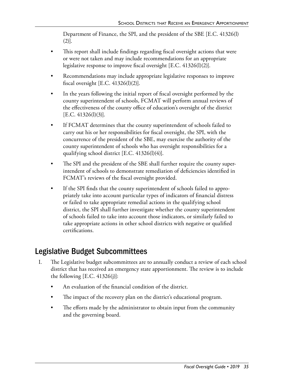Department of Finance, the SPI, and the president of the SBE [E.C. 41326(l) (2)].

- This report shall include findings regarding fiscal oversight actions that were or were not taken and may include recommendations for an appropriate legislative response to improve fiscal oversight [E.C. 41326(l)(2)].
- Recommendations may include appropriate legislative responses to improve fiscal oversight [E.C.  $41326(l)(2)$ ].
- In the years following the initial report of fiscal oversight performed by the county superintendent of schools, FCMAT will perform annual reviews of the effectiveness of the county office of education's oversight of the district  $[E.C. 41326(l)(3)].$
- If FCMAT determines that the county superintendent of schools failed to carry out his or her responsibilities for fiscal oversight, the SPI, with the concurrence of the president of the SBE, may exercise the authority of the county superintendent of schools who has oversight responsibilities for a qualifying school district [E.C. 41326(l)(4)].
- The SPI and the president of the SBE shall further require the county superintendent of schools to demonstrate remediation of deficiencies identified in FCMAT's reviews of the fiscal oversight provided.
- If the SPI finds that the county superintendent of schools failed to appropriately take into account particular types of indicators of financial distress or failed to take appropriate remedial actions in the qualifying school district, the SPI shall further investigate whether the county superintendent of schools failed to take into account those indicators, or similarly failed to take appropriate actions in other school districts with negative or qualified certifications.

## Legislative Budget Subcommittees

- I. The Legislative budget subcommittees are to annually conduct a review of each school district that has received an emergency state apportionment. The review is to include the following  $[EC. 41326(i)]$ :
	- An evaluation of the financial condition of the district.
	- The impact of the recovery plan on the district's educational program.
	- The efforts made by the administrator to obtain input from the community and the governing board.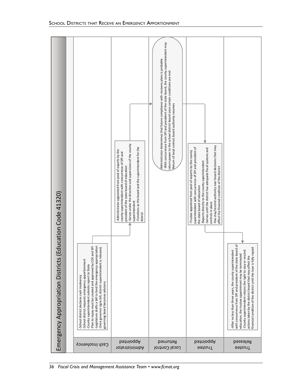| Education Code 41320)             |                                                                                                                                                                                                                                                                                                                                                                                     | -Serves under the direction and supervision of the county<br>-Functions as the board and the superintendent for the<br>-Administrator appointed from pool of experts by the<br>county superintendent with concurrence of SPI and<br>president of the state board of education<br>superintendent<br>district | - With concurrence from SPI and president of the state board, the county superintendent may<br>Administrator determines that future compliance with recovery plans is probable<br>return power to the school district board once certain conditions are met<br>Return of local control; board authority resumes | -Has stay/rescind authority over board decisions that may<br>superintendent with concurrence of SPI and president of<br>-Serves until the district has adequate fiscal systems and<br>-Trustee appointed from pool of experts by the county<br>-Reports directly to the county superintendent<br>affect the financial condition of the district<br>the state board of education<br>controls in place |                                                                                                                                                                                                                                                                                                                                                                                     |
|-----------------------------------|-------------------------------------------------------------------------------------------------------------------------------------------------------------------------------------------------------------------------------------------------------------------------------------------------------------------------------------------------------------------------------------|-------------------------------------------------------------------------------------------------------------------------------------------------------------------------------------------------------------------------------------------------------------------------------------------------------------|-----------------------------------------------------------------------------------------------------------------------------------------------------------------------------------------------------------------------------------------------------------------------------------------------------------------|------------------------------------------------------------------------------------------------------------------------------------------------------------------------------------------------------------------------------------------------------------------------------------------------------------------------------------------------------------------------------------------------------|-------------------------------------------------------------------------------------------------------------------------------------------------------------------------------------------------------------------------------------------------------------------------------------------------------------------------------------------------------------------------------------|
| Emergency Appropriation Districts | -Legislature drafts a bill to fund the emergency appropriation<br>Plan to repay must be created and approved by COE and SPI<br>-Once governor signs bill, district superintendent is released,<br>School district requests emergency apportionment<br>County superintendent submits report to State<br>School district declares cash insolvency<br>governing board becomes advisory |                                                                                                                                                                                                                                                                                                             |                                                                                                                                                                                                                                                                                                                 |                                                                                                                                                                                                                                                                                                                                                                                                      | with concurrence from SPI and president of the state board of<br>financial condition of the district until the loan is fully repaid<br>-After no less than three years, the county superintendent<br>-County superintendent retains the right to stay or rescind<br>education, the trustee appointment may be terminated<br>actions taken by the district board that may affect the |
|                                   | Cash Insolvency                                                                                                                                                                                                                                                                                                                                                                     | bestnioddA<br>hdministrator                                                                                                                                                                                                                                                                                 | Returned<br>Local Control                                                                                                                                                                                                                                                                                       | betnioqqA<br>Trustee                                                                                                                                                                                                                                                                                                                                                                                 | Released<br>Trustee                                                                                                                                                                                                                                                                                                                                                                 |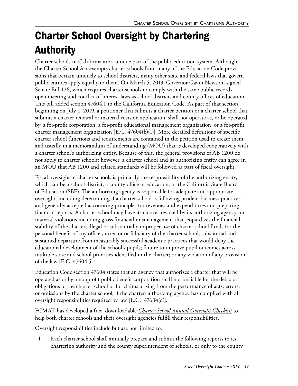# Charter School Oversight by Chartering Authority

Charter schools in California are a unique part of the public education system. Although the Charter School Act exempts charter schools from many of the Education Code provisions that pertain uniquely to school districts, many other state and federal laws that govern public entities apply equally to them. On March 5, 2019, Governor Gavin Newsom signed Senate Bill 126, which requires charter schools to comply with the same public records, open meeting and conflict of interest laws as school districts and county offices of education. This bill added section 47604.1 to the California Education Code. As part of that section, beginning on July 1, 2019, a petitioner that submits a charter petition or a charter school that submits a charter renewal or material revision application, shall not operate as, or be operated by, a for-profit corporation, a for-profit educational management organization, or a for-profit charter management organization [E.C. 47604(b)(1)]. More detailed definitions of specific charter school functions and requirements are contained in the petition used to create them and usually in a memorandum of understanding (MOU) that is developed cooperatively with a charter school's authorizing entity. Because of this, the general provisions of AB 1200 do not apply to charter schools; however, a charter school and its authorizing entity can agree in an MOU that AB 1200 and related standards will be followed as part of fiscal oversight.

Fiscal oversight of charter schools is primarily the responsibility of the authorizing entity, which can be a school district, a county office of education, or the California State Board of Education (SBE). The authorizing agency is responsible for adequate and appropriate oversight, including determining if a charter school is following prudent business practices and generally accepted accounting principles for revenues and expenditures and preparing financial reports. A charter school may have its charter revoked by its authorizing agency for material violations including gross financial mismanagement that jeopardizes the financial stability of the charter; illegal or substantially improper use of charter school funds for the personal benefit of any officer, director or fiduciary of the charter school; substantial and sustained departure from measurably successful academic practices that would deny the educational development of the school's pupils; failure to improve pupil outcomes across multiple state and school priorities identified in the charter; or any violation of any provision of the law [E.C. 47604.5].

Education Code section 47604 states that an agency that authorizes a charter that will be operated as or by a nonprofit public benefit corporation shall not be liable for the debts or obligations of the charter school or for claims arising from the performance of acts, errors, or omissions by the charter school, if the charter-authorizing agency has complied with all oversight responsibilities required by law [E.C. 47604(d)].

FCMAT has developed a free, downloadable *[Charter School Annual Oversight Checklist](http://fcmat.org/wp-content/uploads/sites/4/2016/03/Charter-School-Annual-Oversight-Checklist-revised-final-3-17-2016.pdf)* to help both charter schools and their oversight agencies fulfill their responsibilities.

Oversight responsibilities include but are not limited to:

I. Each charter school shall annually prepare and submit the following reports to its chartering authority and the county superintendent of schools, or only to the county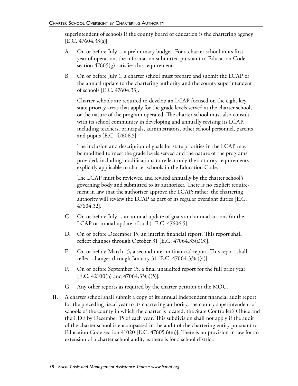superintendent of schools if the county board of education is the chartering agency  $[E.C. 47604.33(a)].$ 

- A. On or before July 1, a preliminary budget. For a charter school in its first year of operation, the information submitted pursuant to Education Code section  $47605(g)$  satisfies this requirement.
- B. On or before July 1, a charter school must prepare and submit the LCAP or the annual update to the chartering authority and the county superintendent of schools [E.C. 47604.33].

Charter schools are required to develop an LCAP focused on the eight key state priority areas that apply for the grade levels served at the charter school, or the nature of the program operated. The charter school must also consult with its school community in developing and annually revising its LCAP, including teachers, principals, administrators, other school personnel, parents and pupils [E.C. 47606.5].

The inclusion and description of goals for state priorities in the LCAP may be modified to meet the grade levels served and the nature of the programs provided, including modifications to reflect only the statutory requirements explicitly applicable to charter schools in the Education Code.

The LCAP must be reviewed and revised annually by the charter school's governing body and submitted to its authorizer. There is no explicit requirement in law that the authorizer approve the LCAP; rather, the chartering authority will review the LCAP as part of its regular oversight duties [E.C. 47604.32].

- C. On or before July 1, an annual update of goals and annual actions (in the LCAP or annual update of such) [E.C. 47606.5].
- D. On or before December 15, an interim financial report. This report shall reflect changes through October 31 [E.C. 47064.33(a)(3)].
- E. On or before March 15, a second interim financial report. This report shall reflect changes through January 31 [E.C. 47064.33(a)(4)].
- F. On or before September 15, a final unaudited report for the full prior year [E.C. 42100(b) and 47064.33(a)(5)].
- G. Any other reports as required by the charter petition or the MOU.
- II. A charter school shall submit a copy of its annual independent financial audit report for the preceding fiscal year to its chartering authority, the county superintendent of schools of the county in which the charter is located, the State Controller's Office and the CDE by December 15 of each year. This subdivision shall not apply if the audit of the charter school is encompassed in the audit of the chartering entity pursuant to Education Code section  $41020$  [E.C.  $47605.6$ (m)]. There is no provision in law for an extension of a charter school audit, as there is for a school district.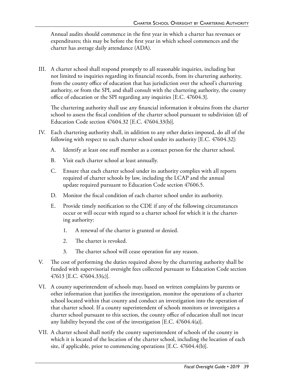Annual audits should commence in the first year in which a charter has revenues or expenditures; this may be before the first year in which school commences and the charter has average daily attendance (ADA).

III. A charter school shall respond promptly to all reasonable inquiries, including but not limited to inquiries regarding its financial records, from its chartering authority, from the county office of education that has jurisdiction over the school's chartering authority, or from the SPI, and shall consult with the chartering authority, the county office of education or the SPI regarding any inquiries [E.C. 47604.3].

The chartering authority shall use any financial information it obtains from the charter school to assess the fiscal condition of the charter school pursuant to subdivision (d) of Education Code section 47604.32 [E.C. 47604.33(b)].

- IV. Each chartering authority shall, in addition to any other duties imposed, do all of the following with respect to each charter school under its authority [E.C. 47604.32]:
	- A. Identify at least one staff member as a contact person for the charter school.
	- B. Visit each charter school at least annually.
	- C. Ensure that each charter school under its authority complies with all reports required of charter schools by law, including the LCAP and the annual update required pursuant to Education Code section 47606.5.
	- D. Monitor the fiscal condition of each charter school under its authority.
	- E. Provide timely notification to the CDE if any of the following circumstances occur or will occur with regard to a charter school for which it is the chartering authority:
		- 1. A renewal of the charter is granted or denied.
		- 2. The charter is revoked.
		- 3. The charter school will cease operation for any reason.
- V. The cost of performing the duties required above by the chartering authority shall be funded with supervisorial oversight fees collected pursuant to Education Code section 47613 [E.C. 47604.33(c)].
- VI. A county superintendent of schools may, based on written complaints by parents or other information that justifies the investigation, monitor the operations of a charter school located within that county and conduct an investigation into the operation of that charter school. If a county superintendent of schools monitors or investigates a charter school pursuant to this section, the county office of education shall not incur any liability beyond the cost of the investigation [E.C. 47604.4(a)].
- VII. A charter school shall notify the county superintendent of schools of the county in which it is located of the location of the charter school, including the location of each site, if applicable, prior to commencing operations [E.C. 47604.4(b)].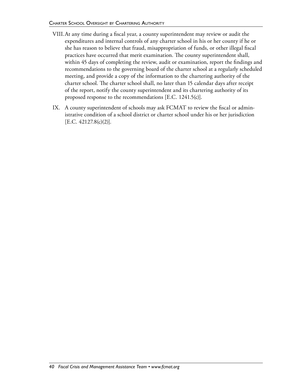- VIII.At any time during a fiscal year, a county superintendent may review or audit the expenditures and internal controls of any charter school in his or her county if he or she has reason to believe that fraud, misappropriation of funds, or other illegal fiscal practices have occurred that merit examination. The county superintendent shall, within 45 days of completing the review, audit or examination, report the findings and recommendations to the governing board of the charter school at a regularly scheduled meeting, and provide a copy of the information to the chartering authority of the charter school. The charter school shall, no later than 15 calendar days after receipt of the report, notify the county superintendent and its chartering authority of its proposed response to the recommendations [E.C. 1241.5(c)].
- IX. A county superintendent of schools may ask FCMAT to review the fiscal or administrative condition of a school district or charter school under his or her jurisdiction  $[E.C. 42127.8(c)(2)].$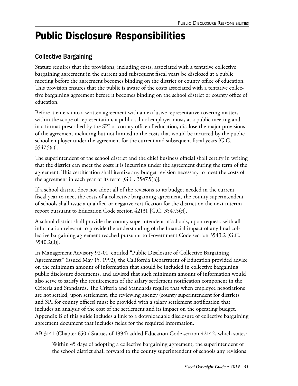# Public Disclosure Responsibilities

#### Collective Bargaining

Statute requires that the provisions, including costs, associated with a tentative collective bargaining agreement in the current and subsequent fiscal years be disclosed at a public meeting before the agreement becomes binding on the district or county office of education. This provision ensures that the public is aware of the costs associated with a tentative collective bargaining agreement before it becomes binding on the school district or county office of education.

Before it enters into a written agreement with an exclusive representative covering matters within the scope of representation, a public school employer must, at a public meeting and in a format prescribed by the SPI or county office of education, disclose the major provisions of the agreement including but not limited to the costs that would be incurred by the public school employer under the agreement for the current and subsequent fiscal years [G.C. 3547.5(a)].

The superintendent of the school district and the chief business official shall certify in writing that the district can meet the costs it is incurring under the agreement during the term of the agreement. This certification shall itemize any budget revision necessary to meet the costs of the agreement in each year of its term [G.C. 3547.5(b)].

If a school district does not adopt all of the revisions to its budget needed in the current fiscal year to meet the costs of a collective bargaining agreement, the county superintendent of schools shall issue a qualified or negative certification for the district on the next interim report pursuant to Education Code section 42131 [G.C. 3547.5(c)].

A school district shall provide the county superintendent of schools, upon request, with all information relevant to provide the understanding of the financial impact of any final collective bargaining agreement reached pursuant to Government Code section 3543.2 [G.C. 3540.2(d)].

In Management Advisory 92-01, entitled "Public Disclosure of Collective Bargaining Agreements" (issued May 15, 1992), the California Department of Education provided advice on the minimum amount of information that should be included in collective bargaining public disclosure documents, and advised that such minimum amount of information would also serve to satisfy the requirements of the salary settlement notification component in the Criteria and Standards. The Criteria and Standards require that when employee negotiations are not settled, upon settlement, the reviewing agency (county superintendent for districts and SPI for county offices) must be provided with a salary settlement notification that includes an analysis of the cost of the settlement and its impact on the operating budget. [Appendix B](#page-68-0) of this guide includes a link to a downloadable disclosure of collective bargaining agreement document that includes fields for the required information.

AB 3141 (Chapter 650 / Statues of 1994) added Education Code section 42142, which states:

Within 45 days of adopting a collective bargaining agreement, the superintendent of the school district shall forward to the county superintendent of schools any revisions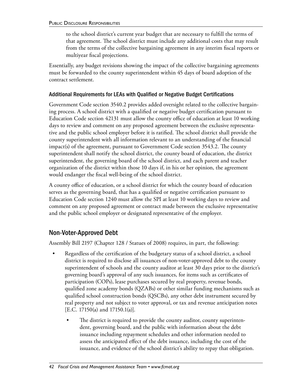to the school district's current year budget that are necessary to fulfill the terms of that agreement. The school district must include any additional costs that may result from the terms of the collective bargaining agreement in any interim fiscal reports or multiyear fiscal projections.

Essentially, any budget revisions showing the impact of the collective bargaining agreements must be forwarded to the county superintendent within 45 days of board adoption of the contract settlement.

#### Additional Requirements for LEAs with Qualified or Negative Budget Certifications

Government Code section 3540.2 provides added oversight related to the collective bargaining process. A school district with a qualified or negative budget certification pursuant to Education Code section 42131 must allow the county office of education at least 10 working days to review and comment on any proposed agreement between the exclusive representative and the public school employer before it is ratified. The school district shall provide the county superintendent with all information relevant to an understanding of the financial impact(s) of the agreement, pursuant to Government Code section 3543.2. The county superintendent shall notify the school district, the county board of education, the district superintendent, the governing board of the school district, and each parent and teacher organization of the district within those 10 days if, in his or her opinion, the agreement would endanger the fiscal well-being of the school district.

A county office of education, or a school district for which the county board of education serves as the governing board, that has a qualified or negative certification pursuant to Education Code section 1240 must allow the SPI at least 10 working days to review and comment on any proposed agreement or contract made between the exclusive representative and the public school employer or designated representative of the employer.

#### Non-Voter-Approved Debt

Assembly Bill 2197 (Chapter 128 / Statues of 2008) requires, in part, the following:

- Regardless of the certification of the budgetary status of a school district, a school district is required to disclose all issuances of non-voter-approved debt to the county superintendent of schools and the county auditor at least 30 days prior to the district's governing board's approval of any such issuances, for items such as certificates of participation (COPs), lease purchases secured by real property, revenue bonds, qualified zone academy bonds (QZABs) or other similar funding mechanisms such as qualified school construction bonds (QSCBs), any other debt instrument secured by real property and not subject to voter approval, or tax and revenue anticipation notes [E.C. 17150(a) and 17150.1(a)].
	- The district is required to provide the county auditor, county superintendent, governing board, and the public with information about the debt issuance including repayment schedules and other information needed to assess the anticipated effect of the debt issuance, including the cost of the issuance, and evidence of the school district's ability to repay that obligation.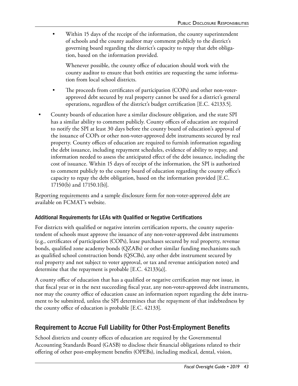• Within 15 days of the receipt of the information, the county superintendent of schools and the county auditor may comment publicly to the district's governing board regarding the district's capacity to repay that debt obligation, based on the information provided.

Whenever possible, the county office of education should work with the county auditor to ensure that both entities are requesting the same information from local school districts.

- The proceeds from certificates of participation (COPs) and other non-voterapproved debt secured by real property cannot be used for a district's general operations, regardless of the district's budget certification [E.C. 42133.5].
- County boards of education have a similar disclosure obligation, and the state SPI has a similar ability to comment publicly. County offices of education are required to notify the SPI at least 30 days before the county board of education's approval of the issuance of COPs or other non-voter-approved debt instruments secured by real property. County offices of education are required to furnish information regarding the debt issuance, including repayment schedules, evidence of ability to repay, and information needed to assess the anticipated effect of the debt issuance, including the cost of issuance. Within 15 days of receipt of the information, the SPI is authorized to comment publicly to the county board of education regarding the county office's capacity to repay the debt obligation, based on the information provided [E.C. 17150(b) and 17150.1(b)].

[Reporting requirements](https://fcmat2.sharepoint.com/sites/fcmat/Website%20Resources/FCMATAlertAB2197FINAL.pdf) and a [sample disclosure form for non-voter-approved debt](fcmat2.sharepoint.com/:x:/r/sites/fcmat/_layouts/15/Doc.aspx?sourcedoc={8A4CAB74-3F6E-4035-8B64-DBEF6618A566}&file=DisclosureofNVADebt.xls&action=default&mobileredirect=true&DefaultItemOpen=1) are available on FCMAT's website.

#### Additional Requirements for LEAs with Qualified or Negative Certifications

For districts with qualified or negative interim certification reports, the county superintendent of schools must approve the issuance of any non-voter-approved debt instruments (e.g., certificates of participation (COPs), lease purchases secured by real property, revenue bonds, qualified zone academy bonds (QZABs) or other similar funding mechanisms such as qualified school construction bonds (QSCBs), any other debt instrument secured by real property and not subject to voter approval, or tax and revenue anticipation notes) and determine that the repayment is probable [E.C. 42133(a)].

A county office of education that has a qualified or negative certification may not issue, in that fiscal year or in the next succeeding fiscal year, any non-voter-approved debt instruments, nor may the county office of education cause an information report regarding the debt instrument to be submitted, unless the SPI determines that the repayment of that indebtedness by the county office of education is probable [E.C. 42133].

#### Requirement to Accrue Full Liability for Other Post-Employment Benefits

School districts and county offices of education are required by the Governmental Accounting Standards Board (GASB) to disclose their financial obligations related to their offering of other post-employment benefits (OPEBs), including medical, dental, vision,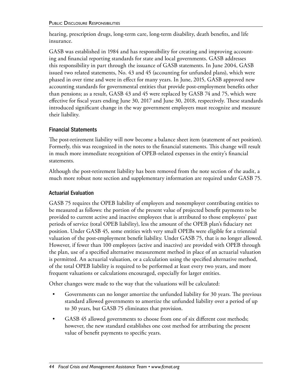hearing, prescription drugs, long-term care, long-term disability, death benefits, and life insurance.

GASB was established in 1984 and has responsibility for creating and improving accounting and financial reporting standards for state and local governments. GASB addresses this responsibility in part through the issuance of GASB statements. In June 2004, GASB issued two related statements, No. 43 and 45 (accounting for unfunded plans), which were phased in over time and were in effect for many years. In June, 2015, GASB approved new accounting standards for governmental entities that provide post-employment benefits other than pensions; as a result, GASB 43 and 45 were replaced by GASB 74 and 75, which were effective for fiscal years ending June 30, 2017 and June 30, 2018, respectively. These standards introduced significant change in the way government employers must recognize and measure their liability.

#### Financial Statements

The post-retirement liability will now become a balance sheet item (statement of net position). Formerly, this was recognized in the notes to the financial statements. This change will result in much more immediate recognition of OPEB-related expenses in the entity's financial statements.

Although the post-retirement liability has been removed from the note section of the audit, a much more robust note section and supplementary information are required under GASB 75.

#### Actuarial Evaluation

GASB 75 requires the OPEB liability of employers and nonemployer contributing entities to be measured as follows: the portion of the present value of projected benefit payments to be provided to current active and inactive employees that is attributed to those employees' past periods of service (total OPEB liability), less the amount of the OPEB plan's fiduciary net position. Under GASB 45, some entities with very small OPEBs were eligible for a triennial valuation of the post-employment benefit liability. Under GASB 75, that is no longer allowed. However, if fewer than 100 employees (active and inactive) are provided with OPEB through the plan, use of a specified alternative measurement method in place of an actuarial valuation is permitted. An actuarial valuation, or a calculation using the specified alternative method, of the total OPEB liability is required to be performed at least every two years, and more frequent valuations or calculations encouraged, especially for larger entities.

Other changes were made to the way that the valuations will be calculated:

- Governments can no longer amortize the unfunded liability for 30 years. The previous standard allowed governments to amortize the unfunded liability over a period of up to 30 years, but GASB 75 eliminates that provision.
- GASB 45 allowed governments to choose from one of six different cost methods; however, the new standard establishes one cost method for attributing the present value of benefit payments to specific years.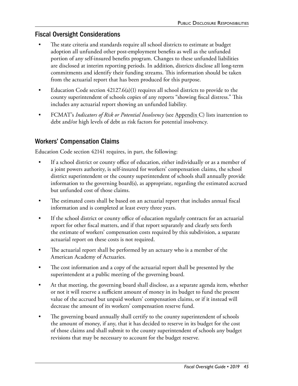#### Fiscal Oversight Considerations

- The state criteria and standards require all school districts to estimate at budget adoption all unfunded other post-employment benefits as well as the unfunded portion of any self-insured benefits program. Changes to these unfunded liabilities are disclosed at interim reporting periods. In addition, districts disclose all long-term commitments and identify their funding streams. This information should be taken from the actuarial report that has been produced for this purpose.
- Education Code section  $42127.6(a)(1)$  requires all school districts to provide to the county superintendent of schools copies of any reports "showing fiscal distress." This includes any actuarial report showing an unfunded liability.
- FCMAT's *Indicators of Risk or Potential Insolvency* (see [Appendix C\)](#page-69-0) lists inattention to debt and/or high levels of debt as risk factors for potential insolvency.

#### Workers' Compensation Claims

Education Code section 42141 requires, in part, the following:

- If a school district or county office of education, either individually or as a member of a joint powers authority, is self-insured for workers' compensation claims, the school district superintendent or the county superintendent of schools shall annually provide information to the governing board(s), as appropriate, regarding the estimated accrued but unfunded cost of those claims.
- The estimated costs shall be based on an actuarial report that includes annual fiscal information and is completed at least every three years.
- If the school district or county office of education regularly contracts for an actuarial report for other fiscal matters, and if that report separately and clearly sets forth the estimate of workers' compensation costs required by this subdivision, a separate actuarial report on these costs is not required.
- The actuarial report shall be performed by an actuary who is a member of the American Academy of Actuaries.
- The cost information and a copy of the actuarial report shall be presented by the superintendent at a public meeting of the governing board.
- At that meeting, the governing board shall disclose, as a separate agenda item, whether or not it will reserve a sufficient amount of money in its budget to fund the present value of the accrued but unpaid workers' compensation claims, or if it instead will decrease the amount of its workers' compensation reserve fund.
- The governing board annually shall certify to the county superintendent of schools the amount of money, if any, that it has decided to reserve in its budget for the cost of those claims and shall submit to the county superintendent of schools any budget revisions that may be necessary to account for the budget reserve.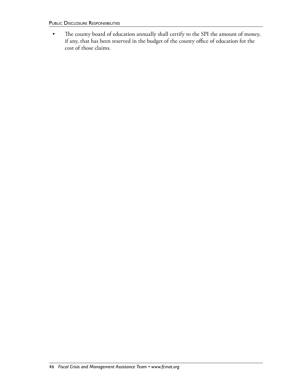• The county board of education annually shall certify to the SPI the amount of money, if any, that has been reserved in the budget of the county office of education for the cost of those claims.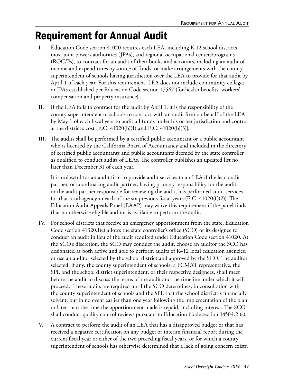# Requirement for Annual Audit

- I. Education Code section 41020 requires each LEA, including K-12 school districts, most joint powers authorities (JPAs), and regional occupational centers/programs (ROC/Ps), to contract for an audit of their books and accounts, including an audit of income and expenditures by source of funds, or make arrangements with the county superintendent of schools having jurisdiction over the LEA to provide for that audit by April 1 of each year. For this requirement, LEA does not include community colleges or JPAs established per Education Code section 17567 (for health benefits, workers' compensation and property insurance).
- II. If the LEA fails to contract for the audit by April 1, it is the responsibility of the county superintendent of schools to contract with an audit firm on behalf of the LEA by May 1 of each fiscal year to audit all funds under his or her jurisdiction and control at the district's cost [E.C. 41020(b)(1) and E.C. 41020(b)(3)].
- III. The audits shall be performed by a certified public accountant or a public accountant who is licensed by the California Board of Accountancy and included in the directory of certified public accountants and public accountants deemed by the state controller as qualified to conduct audits of LEAs. [The controller](https://www.sco.ca.gov/) publishes an updated list no later than December 31 of each year.

It is unlawful for an audit firm to provide audit services to an LEA if the lead audit partner, or coordinating audit partner, having primary responsibility for the audit, or the audit partner responsible for reviewing the audit, has performed audit services for that local agency in each of the six previous fiscal years  $(E.C. 41020(f)(2))$ . The Education Audit Appeals Panel (EAAP) may waive this requirement if the panel finds that no otherwise eligible auditor is available to perform the audit.

- IV. For school districts that receive an emergency apportionment from the state, Education Code section 41320.1(e) allows the state controller's office (SCO) or its designee to conduct an audit in lieu of the audit required under Education Code section 41020. At the SCO's discretion, the SCO may conduct the audit, choose an auditor the SCO has designated as both active and able to perform audits of K–12 local education agencies, or use an auditor selected by the school district and approved by the SCO. The auditor selected, if any, the county superintendent of schools, a FCMAT representative, the SPI, and the school district superintendent, or their respective designees, shall meet before the audit to discuss the terms of the audit and the timeline under which it will proceed. These audits are required until the SCO determines, in consultation with the county superintendent of schools and the SPI, that the school district is financially solvent, but in no event earlier than one year following the implementation of the plan or later than the time the apportionment made is repaid, including interest. The SCO shall conduct quality control reviews pursuant to Education Code section 14504.2 (c).
- V. A contract to perform the audit of an LEA that has a disapproved budget or that has received a negative certification on any budget or interim financial report during the current fiscal year or either of the two preceding fiscal years, or for which a county superintendent of schools has otherwise determined that a lack of going concern exists,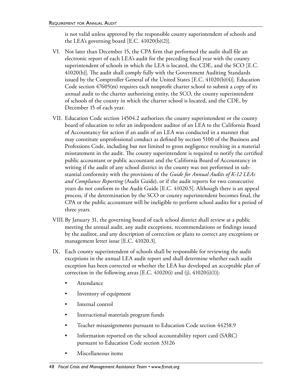is not valid unless approved by the responsible county superintendent of schools and the LEA's governing board [E.C. 41020(b)(2)].

- VI. Not later than December 15, the CPA firm that performed the audit shall file an electronic report of each LEA's audit for the preceding fiscal year with the county superintendent of schools in which the LEA is located, the CDE, and the SCO [E.C. 41020(h)]. The audit shall comply fully with the Government Auditing Standards issued by the Comptroller General of the United States [E.C. 41020(b)(4)]. Education Code section  $47605(m)$  requires each nonprofit charter school to submit a copy of its annual audit to the charter authorizing entity, the SCO, the county superintendent of schools of the county in which the charter school is located, and the CDE, by December 15 of each year.
- VII. Education Code section 14504.2 authorizes the county superintendent or the county board of education to refer an independent auditor of an LEA to the California Board of Accountancy for action if an audit of an LEA was conducted in a manner that may constitute unprofessional conduct as defined by section 5100 of the Business and Professions Code, including but not limited to gross negligence resulting in a material misstatement in the audit. The county superintendent is required to notify the certified public accountant or public accountant and the California Board of Accountancy in writing if the audit of any school district in the county was not performed in substantial conformity with the provisions of the *Guide for Annual Audits of K-12 LEAs and Compliance Reporting* (Audit Guide), or if the audit reports for two consecutive years do not conform to the Audit Guide [E.C. 41020.5]. Although there is an appeal process, if the determination by the SCO or county superintendent becomes final, the CPA or the public accountant will be ineligible to perform school audits for a period of three years.
- VIII.By January 31, the governing board of each school district shall review at a public meeting the annual audit, any audit exceptions, recommendations or findings issued by the auditor, and any description of correction or plans to correct any exceptions or management letter issue [E.C. 41020.3].
- IX. Each county superintendent of schools shall be responsible for reviewing the audit exceptions in the annual LEA audit report and shall determine whether each audit exception has been corrected or whether the LEA has developed an acceptable plan of correction in the following areas [E.C.  $41020(i)$  and (j),  $41020(i)(1)$ ]:
	- Attendance
	- Inventory of equipment
	- Internal control
	- Instructional materials program funds
	- Teacher misassignments pursuant to Education Code section 44258.9
	- Information reported on the school accountability report card (SARC) pursuant to Education Code section 33126
	- Miscellaneous items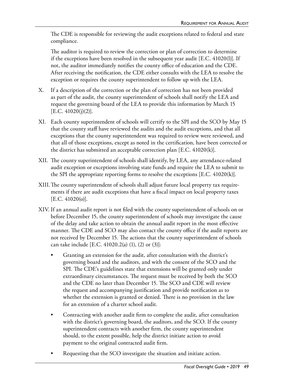The CDE is responsible for reviewing the audit exceptions related to federal and state compliance.

The auditor is required to review the correction or plan of correction to determine if the exceptions have been resolved in the subsequent year audit [E.C. 41020(l)]. If not, the auditor immediately notifies the county office of education and the CDE. After receiving the notification, the CDE either consults with the LEA to resolve the exception or requires the county superintendent to follow up with the LEA.

- X. If a description of the correction or the plan of correction has not been provided as part of the audit, the county superintendent of schools shall notify the LEA and request the governing board of the LEA to provide this information by March 15  $[E.C. 41020(j)(2)].$
- XI. Each county superintendent of schools will certify to the SPI and the SCO by May 15 that the county staff have reviewed the audits and the audit exceptions, and that all exceptions that the county superintendent was required to review were reviewed, and that all of those exceptions, except as noted in the certification, have been corrected or the district has submitted an acceptable correction plan [E.C. 41020(k)].
- XII. The county superintendent of schools shall identify, by LEA, any attendance-related audit exception or exceptions involving state funds and require the LEA to submit to the SPI the appropriate reporting forms to resolve the exceptions [E.C. 41020(k)].
- XIII.The county superintendent of schools shall adjust future local property tax requirements if there are audit exceptions that have a fiscal impact on local property taxes [E.C. 41020(o)].
- XIV. If an annual audit report is not filed with the county superintendent of schools on or before December 15, the county superintendent of schools may investigate the cause of the delay and take action to obtain the annual audit report in the most effective manner. The CDE and SCO may also contact the county office if the audit reports are not received by December 15. The actions that the county superintendent of schools can take include [E.C. 41020.2(a) (1), (2) or (3)]:
	- Granting an extension for the audit, after consultation with the district's governing board and the auditors, and with the consent of the SCO and the SPI. The CDE's guidelines state that extensions will be granted only under extraordinary circumstances. The request must be received by both the SCO and the CDE no later than December 15. The SCO and CDE will review the request and accompanying justification and provide notification as to whether the extension is granted or denied. There is no provision in the law for an extension of a charter school audit.
	- Contracting with another audit firm to complete the audit, after consultation with the district's governing board, the auditors, and the SCO. If the county superintendent contracts with another firm, the county superintendent should, to the extent possible, help the district initiate action to avoid payment to the original contracted audit firm.
	- Requesting that the SCO investigate the situation and initiate action.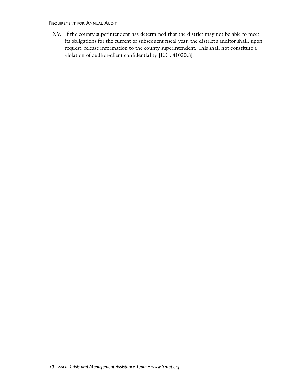XV. If the county superintendent has determined that the district may not be able to meet its obligations for the current or subsequent fiscal year, the district's auditor shall, upon request, release information to the county superintendent. This shall not constitute a violation of auditor-client confidentiality [E.C. 41020.8].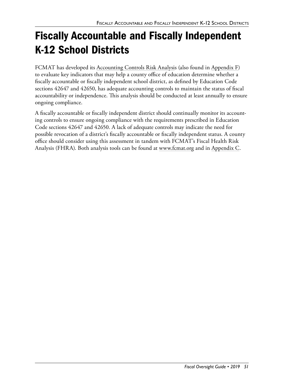# Fiscally Accountable and Fiscally Independent K-12 School Districts

FCMAT has developed its [Accounting Controls Risk Analysis](http://fcmat.org/wp-content/uploads/sites/4/2018/10/Accounting-Controls-Risk-Analysis-10-8-18-2.pdf) (also found in [Appendix F\)](#page-72-0) to evaluate key indicators that may help a county office of education determine whether a fiscally accountable or fiscally independent school district, as defined by Education Code sections 42647 and 42650, has adequate accounting controls to maintain the status of fiscal accountability or independence. This analysis should be conducted at least annually to ensure ongoing compliance.

A fiscally accountable or fiscally independent district should continually monitor its accounting controls to ensure ongoing compliance with the requirements prescribed in Education Code sections 42647 and 42650. A lack of adequate controls may indicate the need for possible revocation of a district's fiscally accountable or fiscally independent status. A county office should consider using this assessment in tandem with FCMAT's Fiscal Health Risk Analysis (FHRA). Both analysis tools can be found at [www.fcmat.org](http://www.fcmat.org/) and in [Appendix C](#page-69-0).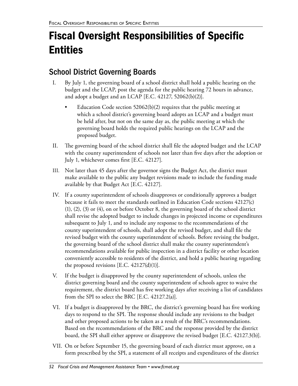# Fiscal Oversight Responsibilities of Specific Entities

### School District Governing Boards

- I. By July 1, the governing board of a school district shall hold a public hearing on the budget and the LCAP, post the agenda for the public hearing 72 hours in advance, and adopt a budget and an LCAP [E.C. 42127, 52062(b)(2)].
	- Education Code section  $52062(b)(2)$  requires that the public meeting at which a school district's governing board adopts an LCAP and a budget must be held after, but not on the same day as, the public meeting at which the governing board holds the required public hearings on the LCAP and the proposed budget.
- II. The governing board of the school district shall file the adopted budget and the LCAP with the county superintendent of schools not later than five days after the adoption or July 1, whichever comes first [E.C. 42127].
- III. Not later than 45 days after the governor signs the Budget Act, the district must make available to the public any budget revisions made to include the funding made available by that Budget Act [E.C. 42127].
- IV. If a county superintendent of schools disapproves or conditionally approves a budget because it fails to meet the standards outlined in Education Code sections 42127(c) (1), (2), (3) or (4), on or before October 8, the governing board of the school district shall revise the adopted budget to include changes in projected income or expenditures subsequent to July 1, and to include any response to the recommendations of the county superintendent of schools, shall adopt the revised budget, and shall file the revised budget with the county superintendent of schools. Before revising the budget, the governing board of the school district shall make the county superintendent's recommendations available for public inspection in a district facility or other location conveniently accessible to residents of the district, and hold a public hearing regarding the proposed revisions [E.C. 42127(d)(1)].
- V. If the budget is disapproved by the county superintendent of schools, unless the district governing board and the county superintendent of schools agree to waive the requirement, the district board has five working days after receiving a list of candidates from the SPI to select the BRC [E.C. 42127.2(a)].
- VI. If a budget is disapproved by the BRC, the district's governing board has five working days to respond to the SPI. The response should include any revisions to the budget and other proposed actions to be taken as a result of the BRC's recommendations. Based on the recommendations of the BRC and the response provided by the district board, the SPI shall either approve or disapprove the revised budget [E.C. 42127.3(b)].
- VII. On or before September 15, the governing board of each district must approve, on a form prescribed by the SPI, a statement of all receipts and expenditures of the district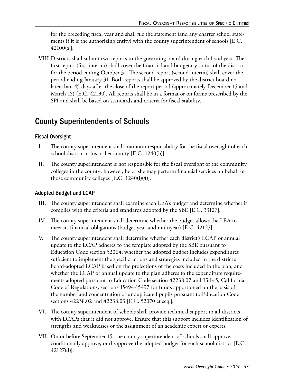for the preceding fiscal year and shall file the statement (and any charter school statements if it is the authorizing entity) with the county superintendent of schools [E.C. 42100(a)].

VIII.Districts shall submit two reports to the governing board during each fiscal year. The first report (first interim) shall cover the financial and budgetary status of the district for the period ending October 31. The second report (second interim) shall cover the period ending January 31. Both reports shall be approved by the district board no later than 45 days after the close of the report period (approximately December 15 and March 15) [E.C. 42130]. All reports shall be in a format or on forms prescribed by the SPI and shall be based on standards and criteria for fiscal stability.

### County Superintendents of Schools

#### Fiscal Oversight

- I. The county superintendent shall maintain responsibility for the fiscal oversight of each school district in his or her county [E.C. 1240(b)].
- II. The county superintendent is not responsible for the fiscal oversight of the community colleges in the county; however, he or she may perform financial services on behalf of those community colleges [E.C.  $1240(l)(4)$ ].

#### Adopted Budget and LCAP

- III. The county superintendent shall examine each LEA's budget and determine whether it complies with the criteria and standards adopted by the SBE [E.C. 33127].
- IV. The county superintendent shall determine whether the budget allows the LEA to meet its financial obligations (budget year and multiyear) [E.C. 42127].
- V. The county superintendent shall determine whether each district's LCAP or annual update to the LCAP adheres to the template adopted by the SBE pursuant to Education Code section 52064; whether the adopted budget includes expenditures sufficient to implement the specific actions and strategies included in the district's board-adopted LCAP based on the projections of the costs included in the plan; and whether the LCAP or annual update to the plan adheres to the expenditure requirements adopted pursuant to Education Code section 42238.07 and Title 5, California Code of Regulations, sections 15494-15497 for funds apportioned on the basis of the number and concentration of unduplicated pupils pursuant to Education Code sections 42238.02 and 42238.03 [E.C. 52070 et seq.].
- VI. The county superintendent of schools shall provide technical support to all districts with LCAPs that it did not approve. Ensure that this support includes identification of strengths and weaknesses or the assignment of an academic expert or experts.
- VII. On or before September 15, the county superintendent of schools shall approve, conditionally approve, or disapprove the adopted budget for each school district [E.C. 42127(d)].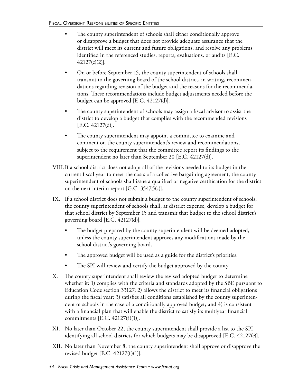- The county superintendent of schools shall either conditionally approve or disapprove a budget that does not provide adequate assurance that the district will meet its current and future obligations, and resolve any problems identified in the referenced studies, reports, evaluations, or audits [E.C. 42127(c)(2)].
- On or before September 15, the county superintendent of schools shall transmit to the governing board of the school district, in writing, recommendations regarding revision of the budget and the reasons for the recommendations. These recommendations include budget adjustments needed before the budget can be approved [E.C. 42127(d)].
- The county superintendent of schools may assign a fiscal advisor to assist the district to develop a budget that complies with the recommended revisions [E.C. 42127(d)].
- The county superintendent may appoint a committee to examine and comment on the county superintendent's review and recommendations, subject to the requirement that the committee report its findings to the superintendent no later than September 20 [E.C. 42127(d)].
- VIII.If a school district does not adopt all of the revisions needed to its budget in the current fiscal year to meet the costs of a collective bargaining agreement, the county superintendent of schools shall issue a qualified or negative certification for the district on the next interim report [G.C. 3547.5(c)].
- IX. If a school district does not submit a budget to the county superintendent of schools, the county superintendent of schools shall, at district expense, develop a budget for that school district by September 15 and transmit that budget to the school district's governing board [E.C. 42127(d)].
	- The budget prepared by the county superintendent will be deemed adopted, unless the county superintendent approves any modifications made by the school district's governing board.
	- The approved budget will be used as a guide for the district's priorities.
	- The SPI will review and certify the budget approved by the county.
- X. The county superintendent shall review the revised adopted budget to determine whether it: 1) complies with the criteria and standards adopted by the SBE pursuant to Education Code section 33127; 2) allows the district to meet its financial obligations during the fiscal year; 3) satisfies all conditions established by the county superintendent of schools in the case of a conditionally approved budget; and 4) is consistent with a financial plan that will enable the district to satisfy its multiyear financial commitments [E.C.  $42127(f)(1)$ ].
- XI. No later than October 22, the county superintendent shall provide a list to the SPI identifying all school districts for which budgets may be disapproved [E.C. 42127(e)].
- XII. No later than November 8, the county superintendent shall approve or disapprove the revised budget [E.C. 42127(f)(1)].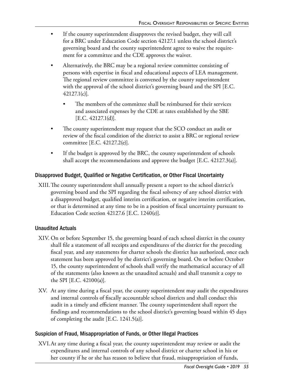- If the county superintendent disapproves the revised budget, they will call for a BRC under Education Code section 42127.1 unless the school district's governing board and the county superintendent agree to waive the requirement for a committee and the CDE approves the waiver.
- Alternatively, the BRC may be a regional review committee consisting of persons with expertise in fiscal and educational aspects of LEA management. The regional review committee is convened by the county superintendent with the approval of the school district's governing board and the SPI [E.C. 42127.1(c)].
	- The members of the committee shall be reimbursed for their services and associated expenses by the CDE at rates established by the SBE [E.C. 42127.1(d)].
- The county superintendent may request that the SCO conduct an audit or review of the fiscal condition of the district to assist a BRC or regional review committee [E.C. 42127.2(e)].
- If the budget is approved by the BRC, the county superintendent of schools shall accept the recommendations and approve the budget [E.C. 42127.3(a)].

#### Disapproved Budget, Qualified or Negative Certification, or Other Fiscal Uncertainty

XIII.The county superintendent shall annually present a report to the school district's governing board and the SPI regarding the fiscal solvency of any school district with a disapproved budget, qualified interim certification, or negative interim certification, or that is determined at any time to be in a position of fiscal uncertainty pursuant to Education Code section 42127.6 [E.C. 1240(e)].

#### Unaudited Actuals

- XIV. On or before September 15, the governing board of each school district in the county shall file a statement of all receipts and expenditures of the district for the preceding fiscal year, and any statements for charter schools the district has authorized, once each statement has been approved by the district's governing board. On or before October 15, the county superintendent of schools shall verify the mathematical accuracy of all of the statements (also known as the unaudited actuals) and shall transmit a copy to the SPI [E.C. 42100(a)].
- XV. At any time during a fiscal year, the county superintendent may audit the expenditures and internal controls of fiscally accountable school districts and shall conduct this audit in a timely and efficient manner. The county superintendent shall report the findings and recommendations to the school district's governing board within 45 days of completing the audit [E.C. 1241.5(a)].

#### Suspicion of Fraud, Misappropriation of Funds, or Other Illegal Practices

XVI.At any time during a fiscal year, the county superintendent may review or audit the expenditures and internal controls of any school district or charter school in his or her county if he or she has reason to believe that fraud, misappropriation of funds,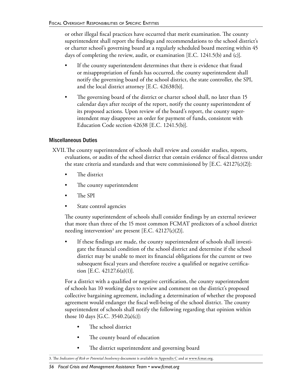or other illegal fiscal practices have occurred that merit examination. The county superintendent shall report the findings and recommendations to the school district's or charter school's governing board at a regularly scheduled board meeting within 45 days of completing the review, audit, or examination [E.C. 1241.5(b) and (c)].

- If the county superintendent determines that there is evidence that fraud or misappropriation of funds has occurred, the county superintendent shall notify the governing board of the school district, the state controller, the SPI, and the local district attorney [E.C. 42638(b)].
- The governing board of the district or charter school shall, no later than 15 calendar days after receipt of the report, notify the county superintendent of its proposed actions. Upon review of the board's report, the county superintendent may disapprove an order for payment of funds, consistent with Education Code section 42638 [E.C. 1241.5(b)].

#### Miscellaneous Duties

- XVII.The county superintendent of schools shall review and consider studies, reports, evaluations, or audits of the school district that contain evidence of fiscal distress under the state criteria and standards and that were commissioned by [E.C.  $42127(c)(2)$ ]:
	- The district
	- The county superintendent
	- The SPI
	- State control agencies

The county superintendent of schools shall consider findings by an external reviewer that more than three of the 15 most common FCMAT predictors of a school district needing intervention<sup>3</sup> are present [E.C.  $42127(c)(2)$ ].

• If these findings are made, the county superintendent of schools shall investigate the financial condition of the school district and determine if the school district may be unable to meet its financial obligations for the current or two subsequent fiscal years and therefore receive a qualified or negative certification [E.C. 42127.6(a)(1)].

For a district with a qualified or negative certification, the county superintendent of schools has 10 working days to review and comment on the district's proposed collective bargaining agreement, including a determination of whether the proposed agreement would endanger the fiscal well-being of the school district. The county superintendent of schools shall notify the following regarding that opinion within those 10 days [G.C.  $3540.2(a)(c)$ ]:

- The school district
- The county board of education
- The district superintendent and governing board

3. The *Indicators of Risk or Potential Insolvency* document is available in [Appendix C](#page-69-0) and at [www.fcmat.org.](http://www.fcmat.org)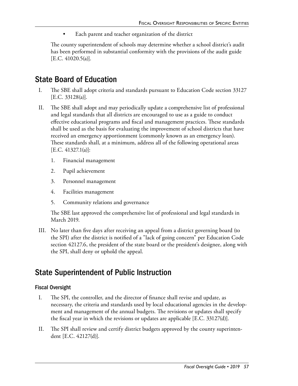• Each parent and teacher organization of the district

The county superintendent of schools may determine whether a school district's audit has been performed in substantial conformity with the provisions of the audit guide [E.C. 41020.5(a)].

## State Board of Education

- I. The SBE shall adopt criteria and standards pursuant to Education Code section 33127 [E.C. 33128(a)].
- II. The SBE shall adopt and may periodically update a comprehensive list of professional and legal standards that all districts are encouraged to use as a guide to conduct effective educational programs and fiscal and management practices. These standards shall be used as the basis for evaluating the improvement of school districts that have received an emergency apportionment (commonly known as an emergency loan). These standards shall, at a minimum, address all of the following operational areas [E.C. 41327.1(a)]:
	- 1. Financial management
	- 2. Pupil achievement
	- 3. Personnel management
	- 4. Facilities management
	- 5. Community relations and governance

The SBE last approved the comprehensive list of professional and legal standards in March 2019.

III. No later than five days after receiving an appeal from a district governing board (to the SPI) after the district is notified of a "lack of going concern" per Education Code section 42127.6, the president of the state board or the president's designee, along with the SPI, shall deny or uphold the appeal.

## State Superintendent of Public Instruction

#### Fiscal Oversight

- I. The SPI, the controller, and the director of finance shall revise and update, as necessary, the criteria and standards used by local educational agencies in the development and management of the annual budgets. The revisions or updates shall specify the fiscal year in which the revisions or updates are applicable [E.C. 33127(d)].
- II. The SPI shall review and certify district budgets approved by the county superintendent [E.C. 42127(d)].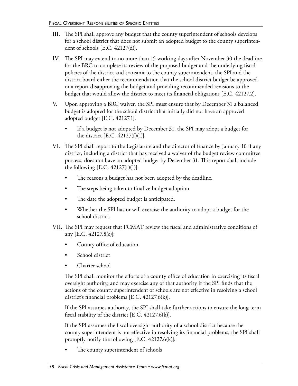- III. The SPI shall approve any budget that the county superintendent of schools develops for a school district that does not submit an adopted budget to the county superintendent of schools [E.C. 42127(d)].
- IV. The SPI may extend to no more than 15 working days after November 30 the deadline for the BRC to complete its review of the proposed budget and the underlying fiscal policies of the district and transmit to the county superintendent, the SPI and the district board either the recommendation that the school district budget be approved or a report disapproving the budget and providing recommended revisions to the budget that would allow the district to meet its financial obligations [E.C. 42127.2].
- V. Upon approving a BRC waiver, the SPI must ensure that by December 31 a balanced budget is adopted for the school district that initially did not have an approved adopted budget [E.C. 42127.1].
	- If a budget is not adopted by December 31, the SPI may adopt a budget for the district [E.C.  $42127(f)(1)$ ].
- VI. The SPI shall report to the Legislature and the director of finance by January 10 if any district, including a district that has received a waiver of the budget review committee process, does not have an adopted budget by December 31. This report shall include the following  $[E.C. 42127(f)(1)]$ :
	- The reasons a budget has not been adopted by the deadline.
	- The steps being taken to finalize budget adoption.
	- The date the adopted budget is anticipated.
	- Whether the SPI has or will exercise the authority to adopt a budget for the school district.
- VII. The SPI may request that FCMAT review the fiscal and administrative conditions of any [E.C. 42127.8(c)]:
	- County office of education
	- School district
	- Charter school

The SPI shall monitor the efforts of a county office of education in exercising its fiscal oversight authority, and may exercise any of that authority if the SPI finds that the actions of the county superintendent of schools are not effective in resolving a school district's financial problems [E.C. 42127.6(k)].

If the SPI assumes authority, the SPI shall take further actions to ensure the long-term fiscal stability of the district [E.C. 42127.6(k)].

If the SPI assumes the fiscal oversight authority of a school district because the county superintendent is not effective in resolving its financial problems, the SPI shall promptly notify the following [E.C. 42127.6(k)]:

The county superintendent of schools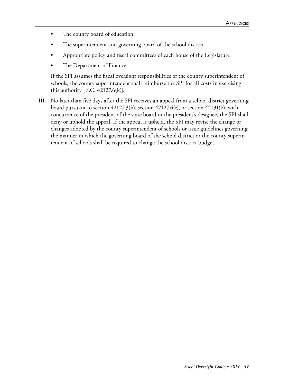- The county board of education
- The superintendent and governing board of the school district
- Appropriate policy and fiscal committees of each house of the Legislature
- The Department of Finance

If the SPI assumes the fiscal oversight responsibilities of the county superintendent of schools, the county superintendent shall reimburse the SPI for all costs in exercising this authority [E.C. 42127.6(k)].

III. No later than five days after the SPI receives an appeal from a school district governing board pursuant to section 42127.3(b), section 42127.6(e), or section 42131(b), with concurrence of the president of the state board or the president's designee, the SPI shall deny or uphold the appeal. If the appeal is upheld, the SPI may revise the change or changes adopted by the county superintendent of schools or issue guidelines governing the manner in which the governing board of the school district or the county superintendent of schools shall be required to change the school district budget.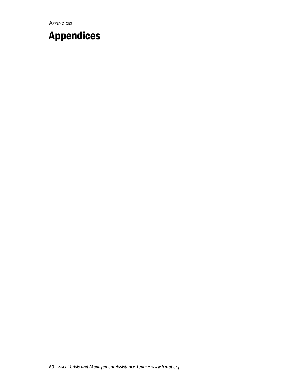# Appendices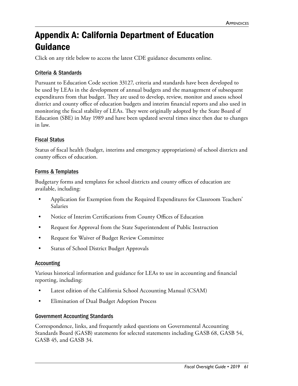## Appendix A: California Department of Education Guidance

Click on any title below to access the latest CDE guidance documents online.

#### [Criteria & Standards](https://www.cde.ca.gov/fg/fi/ss/)

Pursuant to Education Code section 33127, criteria and standards have been developed to be used by LEAs in the development of annual budgets and the management of subsequent expenditures from that budget. They are used to develop, review, monitor and assess school district and county office of education budgets and interim financial reports and also used in monitoring the fiscal stability of LEAs. They were originally adopted by the State Board of Education (SBE) in May 1989 and have been updated several times since then due to changes in law.

#### [Fiscal Status](https://www.cde.ca.gov/fg/fi/ir/)

Status of fiscal health (budget, interims and emergency appropriations) of school districts and county offices of education.

#### [Forms & Templates](https://www.cde.ca.gov/fg/fi/ft/)

Budgetary forms and templates for school districts and county offices of education are available, including:

- Application for Exemption from the Required Expenditures for Classroom Teachers' Salaries
- Notice of Interim Certifications from County Offices of Education
- Request for Approval from the State Superintendent of Public Instruction
- Request for Waiver of Budget Review Committee
- Status of School District Budget Approvals

#### [Accounting](https://www.cde.ca.gov/fg/ac/)

Various historical information and guidance for LEAs to use in accounting and financial reporting, including:

- Latest edition of the California School Accounting Manual (CSAM)
- Elimination of Dual Budget Adoption Process

#### [Government Accounting Standards](https://www.cde.ca.gov/fg/ac/as/)

Correspondence, links, and frequently asked questions on Governmental Accounting Standards Board (GASB) statements for selected statements including GASB 68, GASB 54, GASB 45, and GASB 34.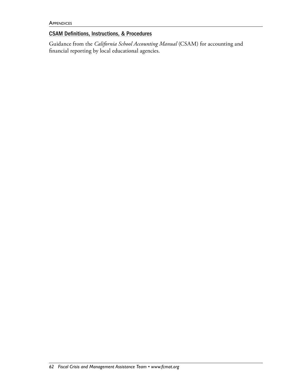#### [CSAM Definitions, Instructions, & Procedures](https://www.cde.ca.gov/fg/ac/sa/)

Guidance from the *California School Accounting Manual* (CSAM) for accounting and financial reporting by local educational agencies.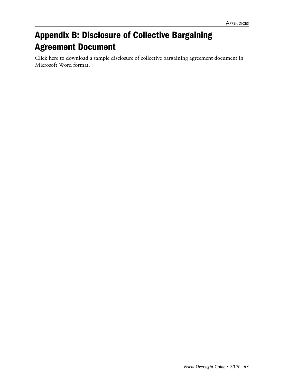## <span id="page-68-0"></span>Appendix B: Disclosure of Collective Bargaining Agreement Document

[Click here to download a sample disclosure of collective bargaining agreement document in](http://fcmat.org/wp-content/uploads/sites/4/2019/03/Fiscal-Oversight-Guide-Appendix-B-Sample-Disclosure-of-CBA.docx)  [Microsoft Word format.](http://fcmat.org/wp-content/uploads/sites/4/2019/03/Fiscal-Oversight-Guide-Appendix-B-Sample-Disclosure-of-CBA.docx)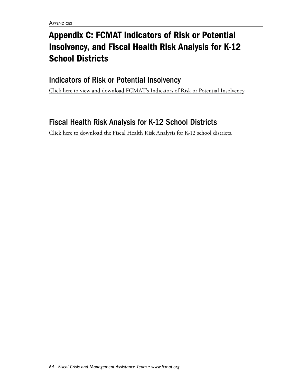## <span id="page-69-0"></span>Appendix C: FCMAT Indicators of Risk or Potential Insolvency, and Fiscal Health Risk Analysis for K-12 School Districts

### Indicators of Risk or Potential Insolvency

[Click here to view and download FCMAT's Indicators of Risk or Potential Insolvency.](https://www.fcmat.org/PublicationsReports/FCMAT%20Indicators%208-14-19.pdf)

### Fiscal Health Risk Analysis for K-12 School Districts

[Click here to download the Fiscal Health Risk Analysis for K-12 school districts.](http://fcmat.org/fiscal-health)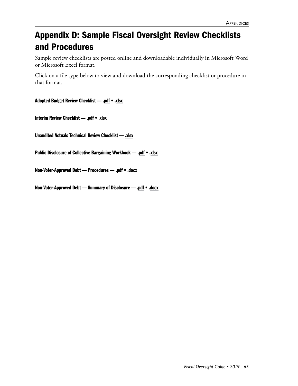## Appendix D: Sample Fiscal Oversight Review Checklists and Procedures

Sample review checklists are posted online and downloadable individually in Microsoft Word or Microsoft Excel format.

Click on a file type below to view and download the corresponding checklist or procedure in that format.

Adopted Budget Review Checklist — .[pdf](http://fcmat.org/wp-content/uploads/sites/4/2019/02/P-005-Adopted-Budget-Review-Checklist.pdf) • .[xlsx](http://fcmat.org/wp-content/uploads/sites/4/2019/02/P-005-Adopted-Budget-Review-Checklist.xlsx)

Interim Review Checklist — .[pdf](http://fcmat.org/wp-content/uploads/sites/4/2019/02/P-005-Interim-Review-Checklist.pdf) • .[xlsx](http://fcmat.org/wp-content/uploads/sites/4/2019/02/P-005-Interim-Review-Checklist.xlsx)

Unaudited Actuals Technical Review Checklist — [.xlsx](http://fcmat.org/wp-content/uploads/sites/4/2019/05/Unaudited-Actuals-Technical-Review-Checklist.xls)

Public Disclosure of Collective Bargaining Workbook — [.pdf](http://fcmat.org/wp-content/uploads/sites/4/2019/02/P-005-Public-Disclosure-of-Collective-Bargaining-Workbook.pdf) • .[xlsx](http://fcmat.org/wp-content/uploads/sites/4/2019/02/P-005-Public-Disclosure-of-Collective-Bargaining-Workbook.xlsx)

Non-Voter-Approved Debt — Procedures — [.pdf](http://fcmat.org/wp-content/uploads/sites/4/2019/02/P-005-Non-Voter-Approved-Debt-Procedures.pdf) • [.docx](http://fcmat.org/wp-content/uploads/sites/4/2019/02/P-005-Non-Voter-Approved-Debt-Procedures.docx)

Non-Voter-Approved Debt — Summary of Disclosure — [.pdf](http://fcmat.org/wp-content/uploads/sites/4/2019/02/P-005-Non-Voter-Approved-Debt-Summary-of-Disclosure.pdf) • [.docx](http://fcmat.org/wp-content/uploads/sites/4/2019/02/P-005-Non-Voter-Approved-Debt-Summary-of-Disclosure.docx)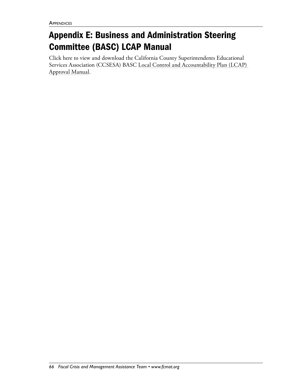## Appendix E: Business and Administration Steering Committee (BASC) LCAP Manual

Click here to view and download the California County Superintendents Educational Services Association (CCSESA) BASC [Local Control and Accountability Plan \(LCAP\)](http://fcmat.org/wp-content/uploads/sites/4/2019/03/CCSESA-LCAP-Approval-Manual-2019-20-final.pdf)  [Approval Manual](http://fcmat.org/wp-content/uploads/sites/4/2019/03/CCSESA-LCAP-Approval-Manual-2019-20-final.pdf).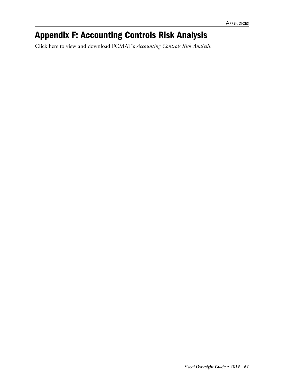## Appendix F: Accounting Controls Risk Analysis

[Click here to view and download FCMAT's](http://fcmat.org/wp-content/uploads/sites/4/2018/10/Accounting-Controls-Risk-Analysis-10-8-18-2.pdf) *Accounting Controls Risk Analysis*.